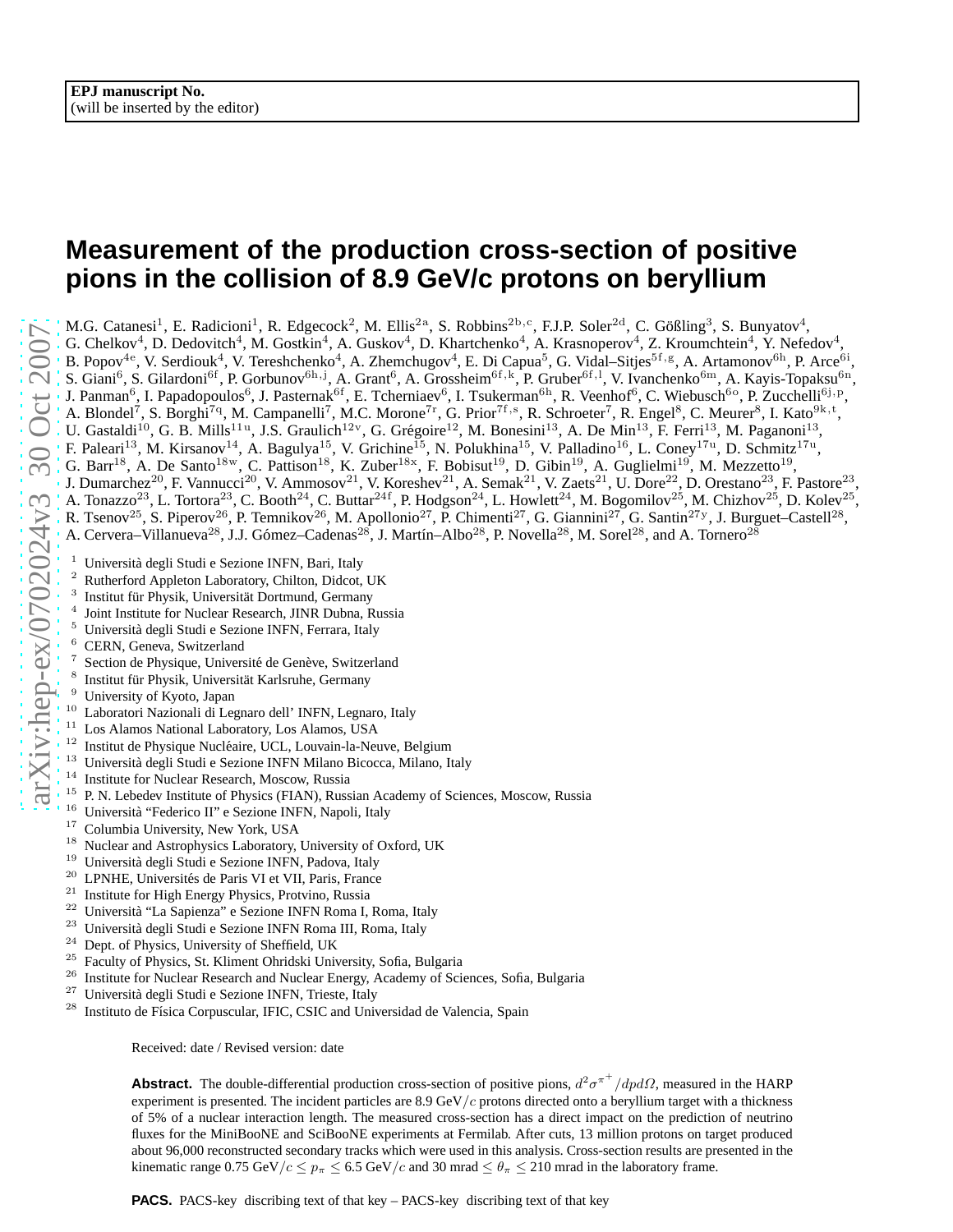# **Measurement of the production cross-section of positive pions in the collision of 8.9 GeV/c protons on beryllium**

M.G. Catanesi<sup>1</sup>, E. Radicioni<sup>1</sup>, R. Edgecock<sup>2</sup>, M. Ellis<sup>2a</sup>, S. Robbins<sup>2b,c</sup>, F.J.P. Soler<sup>2d</sup>, C. Gößling<sup>3</sup>, S. Bunyatov<sup>4</sup>,

G. Chelkov<sup>4</sup>, D. Dedovitch<sup>4</sup>, M. Gostkin<sup>4</sup>, A. Guskov<sup>4</sup>, D. Khartchenko<sup>4</sup>, A. Krasnoperov<sup>4</sup>, Z. Kroumchtein<sup>4</sup>, Y. Nefedov<sup>4</sup>,

B. Popov<sup>4e</sup>, V. Serdiouk<sup>4</sup>, V. Tereshchenko<sup>4</sup>, A. Zhemchugov<sup>4</sup>, E. Di Capua<sup>5</sup>, G. Vidal–Sitjes<sup>5f,g</sup>, A. Artamonov<sup>6h</sup>, P. Arce<sup>6i</sup>,

S. Giani<sup>6</sup>, S. Gilardoni<sup>6f</sup>, P. Gorbunov<sup>6h, j</sup>, A. Grant<sup>6</sup>, A. Grossheim<sup>6f, k</sup>, P. Gruber<sup>6f, l</sup>, V. Ivanchenko<sup>6m</sup>, A. Kayis-Topaksu<sup>6n</sup>,

J. Panman<sup>6</sup>, I. Papadopoulos<sup>6</sup>, J. Pasternak<sup>6f</sup>, E. Tcherniaev<sup>6</sup>, I. Tsukerman<sup>6h</sup>, R. Veenhof<sup>6</sup>, C. Wiebusch<sup>60</sup>, P. Zucchelli<sup>6j, p</sup>,

A. Blondel<sup>7</sup>, S. Borghi<sup>7q</sup>, M. Campanelli<sup>7</sup>, M.C. Morone<sup>7r</sup>, G. Prior<sup>7f,s</sup>, R. Schroeter<sup>7</sup>, R. Engel<sup>8</sup>, C. Meurer<sup>8</sup>, I. Kato<sup>9k,t</sup>,

U. Gastaldi<sup>10</sup>, G. B. Mills<sup>11u</sup>, J.S. Graulich<sup>12v</sup>, G. Grégoire<sup>12</sup>, M. Bonesini<sup>13</sup>, A. De Min<sup>13</sup>, F. Ferri<sup>13</sup>, M. Paganoni<sup>13</sup>,

F. Paleari<sup>13</sup>, M. Kirsanov<sup>14</sup>, A. Bagulya<sup>15</sup>, V. Grichine<sup>15</sup>, N. Polukhina<sup>15</sup>, V. Palladino<sup>16</sup>, L. Coney<sup>17u</sup>, D. Schmitz<sup>17u</sup>,

G. Barr<sup>18</sup>, A. De Santo<sup>18w</sup>, C. Pattison<sup>18</sup>, K. Zuber<sup>18x</sup>, F. Bobisut<sup>19</sup>, D. Gibin<sup>19</sup>, A. Guglielmi<sup>19</sup>, M. Mezzetto<sup>19</sup>,

J. Dumarchez<sup>20</sup>, F. Vannucci<sup>20</sup>, V. Ammosov<sup>21</sup>, V. Koreshev<sup>21</sup>, A. Semak<sup>21</sup>, V. Zaets<sup>21</sup>, U. Dore<sup>22</sup>, D. Orestano<sup>23</sup>, F. Pastore<sup>23</sup>,

A. Tonazzo<sup>23</sup>, L. Tortora<sup>23</sup>, C. Booth<sup>24</sup>, C. Buttar<sup>24f</sup>, P. Hodgson<sup>24</sup>, L. Howlett<sup>24</sup>, M. Bogomilov<sup>25</sup>, M. Chizhov<sup>25</sup>, D. Kolev<sup>25</sup>,

R. Tsenov<sup>25</sup>, S. Piperov<sup>26</sup>, P. Temnikov<sup>26</sup>, M. Apollonio<sup>27</sup>, P. Chimenti<sup>27</sup>, G. Giannini<sup>27</sup>, G. Santin<sup>27y</sup>, J. Burguet–Castell<sup>28</sup>,

A. Cervera–Villanueva<sup>28</sup>, J.J. Gómez–Cadenas<sup>28</sup>, J. Martín–Albo<sup>28</sup>, P. Novella<sup>28</sup>, M. Sorel<sup>28</sup>, and A. Tornero<sup>28</sup>

- Università degli Studi e Sezione INFN, Bari, Italy
- <sup>2</sup> Rutherford Appleton Laboratory, Chilton, Didcot, UK
- 3 Institut für Physik, Universität Dortmund, Germany
- 4 Joint Institute for Nuclear Research, JINR Dubna, Russia
- Università degli Studi e Sezione INFN, Ferrara, Italy
- 
- <sup>6</sup> CERN, Geneva, Switzerland
- Section de Physique, Université de Genève, Switzerland
- 8 Institut für Physik, Universität Karlsruhe, Germany
- University of Kyoto, Japan
- Laboratori Nazionali di Legnaro dell' INFN, Legnaro, Italy
- Los Alamos National Laboratory, Los Alamos, USA
- <sup>12</sup> Institut de Physique Nucléaire, UCL, Louvain-la-Neuve, Belgium<br><sup>13</sup> Università degli Studi e Sezione INEN Milano Bicocco, Milano, It
- Università degli Studi e Sezione INFN Milano Bicocca, Milano, Italy
- Institute for Nuclear Research, Moscow, Russia
- <sup>15</sup> P. N. Lebedev Institute of Physics (FIAN), Russian Academy of Sciences, Moscow, Russia<br><sup>16</sup> Università "Federice II" e Seriene INFN, Nepoli, Italy
- <sup>16</sup> Università "Federico II" e Sezione INFN, Napoli, Italy  $^{17}$  Columbia University, Naw York, USA
- <sup>17</sup> Columbia University, New York, USA<br><sup>18</sup> Nuclear and Astrophysics Laboratory
- <sup>18</sup> Nuclear and Astrophysics Laboratory, University of Oxford, UK<br><sup>19</sup> University decli Studi e Sezione INEN, Bedeve, Italy
- <sup>19</sup> Università degli Studi e Sezione INFN, Padova, Italy<br><sup>20</sup> I DNHE Università de Perie VI et VII Perie France
- <sup>20</sup> LPNHE, Universités de Paris VI et VII, Paris, France<br><sup>21</sup> Justițute for Uigh Francy Physics, Pratring, Puscie
- <sup>21</sup> Institute for High Energy Physics, Protvino, Russia<br><sup>22</sup> Università i<sup>4</sup> e Septembre, e Septembre INEN Borne L
- <sup>22</sup> Università "La Sapienza" e Sezione INFN Roma I, Roma, Italy  $^{23}$  Università decli Studi e Sezione INFN Roma III, Roma, Italy
- <sup>23</sup> Università degli Studi e Sezione INFN Roma III, Roma, Italy  $^{24}$  Dept. of Physics. University of Sheffield, UK
- <sup>24</sup> Dept. of Physics, University of Sheffield, UK<br><sup>25</sup> Ecoulty of Physics, *St. Klimart* Obrideki Univ
- <sup>25</sup> Faculty of Physics, St. Kliment Ohridski University, Sofia, Bulgaria<br><sup>26</sup> Institute for Nuclear Basearsh and Nuclear Francy, Asadamy of Sai
- <sup>26</sup> Institute for Nuclear Research and Nuclear Energy, Academy of Sciences, Sofia, Bulgaria<br><sup>27</sup> Ilniversità degli Studi e Sezione INEN. Trieste, Italy
- <sup>27</sup> Università degli Studi e Sezione INFN, Trieste, Italy  $^{28}$  Instituto de Física Corpuscular, IFIC, CSIC and Univ
- Instituto de Física Corpuscular, IFIC, CSIC and Universidad de Valencia, Spain

Received: date / Revised version: date

**Abstract.** The double-differential production cross-section of positive pions,  $d^2 \sigma^{\pi^+}/dp d\Omega$ , measured in the HARP experiment is presented. The incident particles are  $8.9 \text{ GeV}/c$  protons directed onto a beryllium target with a thickness of 5% of a nuclear interaction length. The measured cross-section has a direct impact on the prediction of neutrino fluxes for the MiniBooNE and SciBooNE experiments at Fermilab. After cuts, 13 million protons on target produced about 96,000 reconstructed secondary tracks which were used in this analysis. Cross-section results are presented in the kinematic range 0.75 GeV/ $c \le p_{\pi} \le 6.5$  GeV/ $c$  and 30 mrad  $\le \theta_{\pi} \le 210$  mrad in the laboratory frame.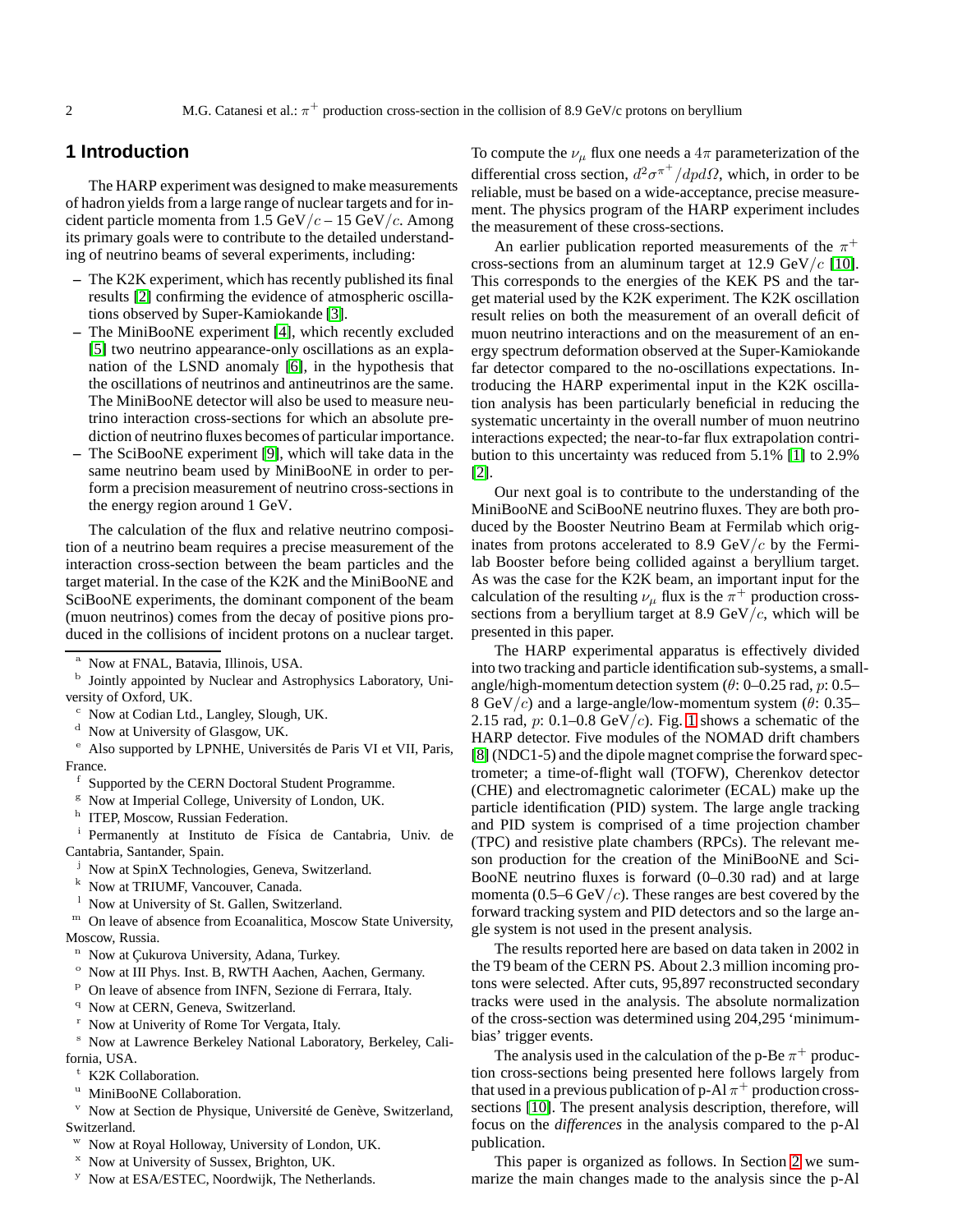## **1 Introduction**

The HARP experiment was designed to make measurements of hadron yields from a large range of nuclear targets and for incident particle momenta from 1.5 GeV/ $c - 15$  GeV/ $c$ . Among its primary goals were to contribute to the detailed understanding of neutrino beams of several experiments, including:

- **–** The K2K experiment, which has recently published its final results [\[2\]](#page-18-0) confirming the evidence of atmospheric oscillations observed by Super-Kamiokande [\[3\]](#page-18-1).
- **–** The MiniBooNE experiment [\[4\]](#page-18-2), which recently excluded [\[5\]](#page-18-3) two neutrino appearance-only oscillations as an explanation of the LSND anomaly [\[6\]](#page-18-4), in the hypothesis that the oscillations of neutrinos and antineutrinos are the same. The MiniBooNE detector will also be used to measure neutrino interaction cross-sections for which an absolute prediction of neutrino fluxes becomes of particular importance.
- **–** The SciBooNE experiment [\[9\]](#page-18-5), which will take data in the same neutrino beam used by MiniBooNE in order to perform a precision measurement of neutrino cross-sections in the energy region around 1 GeV.

The calculation of the flux and relative neutrino composition of a neutrino beam requires a precise measurement of the interaction cross-section between the beam particles and the target material. In the case of the K2K and the MiniBooNE and SciBooNE experiments, the dominant component of the beam (muon neutrinos) comes from the decay of positive pions produced in the collisions of incident protons on a nuclear target.

- <sup>b</sup> Jointly appointed by Nuclear and Astrophysics Laboratory, University of Oxford, UK.
- <sup>c</sup> Now at Codian Ltd., Langley, Slough, UK.
- <sup>d</sup> Now at University of Glasgow, UK.<br>
<sup>e</sup> Also supported by J PNHF Univers

Also supported by LPNHE, Universités de Paris VI et VII, Paris, France.

f Supported by the CERN Doctoral Student Programme.

<sup>g</sup> Now at Imperial College, University of London, UK.

<sup>h</sup> ITEP, Moscow, Russian Federation.

i Permanently at Instituto de Física de Cantabria, Univ. de Cantabria, Santander, Spain.

<sup>j</sup> Now at SpinX Technologies, Geneva, Switzerland.

- <sup>k</sup> Now at TRIUMF, Vancouver, Canada.
- <sup>l</sup> Now at University of St. Gallen, Switzerland.

 $<sup>m</sup>$  On leave of absence from Ecoanalitica, Moscow State University,</sup> Moscow, Russia.

- <sup>n</sup> Now at Çukurova University, Adana, Turkey.
- <sup>o</sup> Now at III Phys. Inst. B, RWTH Aachen, Aachen, Germany.
- <sup>p</sup> On leave of absence from INFN, Sezione di Ferrara, Italy.
- <sup>q</sup> Now at CERN, Geneva, Switzerland.
- <sup>r</sup> Now at Univerity of Rome Tor Vergata, Italy.

<sup>s</sup> Now at Lawrence Berkeley National Laboratory, Berkeley, California, USA.

- <sup>t</sup> K2K Collaboration.
- <sup>u</sup> MiniBooNE Collaboration.
- Now at Section de Physique, Université de Genève, Switzerland, Switzerland.
	- Now at Royal Holloway, University of London, UK.
- <sup>x</sup> Now at University of Sussex, Brighton, UK.
- <sup>y</sup> Now at ESA/ESTEC, Noordwijk, The Netherlands.

To compute the  $\nu_{\mu}$  flux one needs a  $4\pi$  parameterization of the differential cross section,  $d^2 \sigma^{\pi^+}/dp d\Omega$ , which, in order to be reliable, must be based on a wide-acceptance, precise measurement. The physics program of the HARP experiment includes the measurement of these cross-sections.

An earlier publication reported measurements of the  $\pi^+$ cross-sections from an aluminum target at 12.9 GeV/ $c$  [\[10\]](#page-18-6). This corresponds to the energies of the KEK PS and the target material used by the K2K experiment. The K2K oscillation result relies on both the measurement of an overall deficit of muon neutrino interactions and on the measurement of an energy spectrum deformation observed at the Super-Kamiokande far detector compared to the no-oscillations expectations. Introducing the HARP experimental input in the K2K oscillation analysis has been particularly beneficial in reducing the systematic uncertainty in the overall number of muon neutrino interactions expected; the near-to-far flux extrapolation contribution to this uncertainty was reduced from 5.1% [\[1\]](#page-18-7) to 2.9% [\[2\]](#page-18-0).

Our next goal is to contribute to the understanding of the MiniBooNE and SciBooNE neutrino fluxes. They are both produced by the Booster Neutrino Beam at Fermilab which originates from protons accelerated to 8.9 GeV/ $c$  by the Fermilab Booster before being collided against a beryllium target. As was the case for the K2K beam, an important input for the calculation of the resulting  $\nu_{\mu}$  flux is the  $\pi^{+}$  production crosssections from a beryllium target at  $8.9 \text{ GeV}/c$ , which will be presented in this paper.

The HARP experimental apparatus is effectively divided into two tracking and particle identification sub-systems, a smallangle/high-momentum detection system  $(\theta: 0-0.25 \text{ rad}, p: 0.5-$ 8 GeV/c) and a large-angle/low-momentum system ( $\theta$ : 0.35– 2.15 rad, p: 0.1–0.8 GeV/c). Fig. [1](#page-2-0) shows a schematic of the HARP detector. Five modules of the NOMAD drift chambers [\[8\]](#page-18-8) (NDC1-5) and the dipole magnet comprise the forward spectrometer; a time-of-flight wall (TOFW), Cherenkov detector (CHE) and electromagnetic calorimeter (ECAL) make up the particle identification (PID) system. The large angle tracking and PID system is comprised of a time projection chamber (TPC) and resistive plate chambers (RPCs). The relevant meson production for the creation of the MiniBooNE and Sci-BooNE neutrino fluxes is forward (0–0.30 rad) and at large momenta (0.5–6 GeV/c). These ranges are best covered by the forward tracking system and PID detectors and so the large angle system is not used in the present analysis.

The results reported here are based on data taken in 2002 in the T9 beam of the CERN PS. About 2.3 million incoming protons were selected. After cuts, 95,897 reconstructed secondary tracks were used in the analysis. The absolute normalization of the cross-section was determined using 204,295 'minimumbias' trigger events.

The analysis used in the calculation of the p-Be  $\pi^+$  production cross-sections being presented here follows largely from that used in a previous publication of p-Al  $\pi^+$  production crosssections [\[10\]](#page-18-6). The present analysis description, therefore, will focus on the *differences* in the analysis compared to the p-Al publication.

This paper is organized as follows. In Section [2](#page-2-1) we summarize the main changes made to the analysis since the p-Al

<sup>&</sup>lt;sup>a</sup> Now at FNAL, Batavia, Illinois, USA.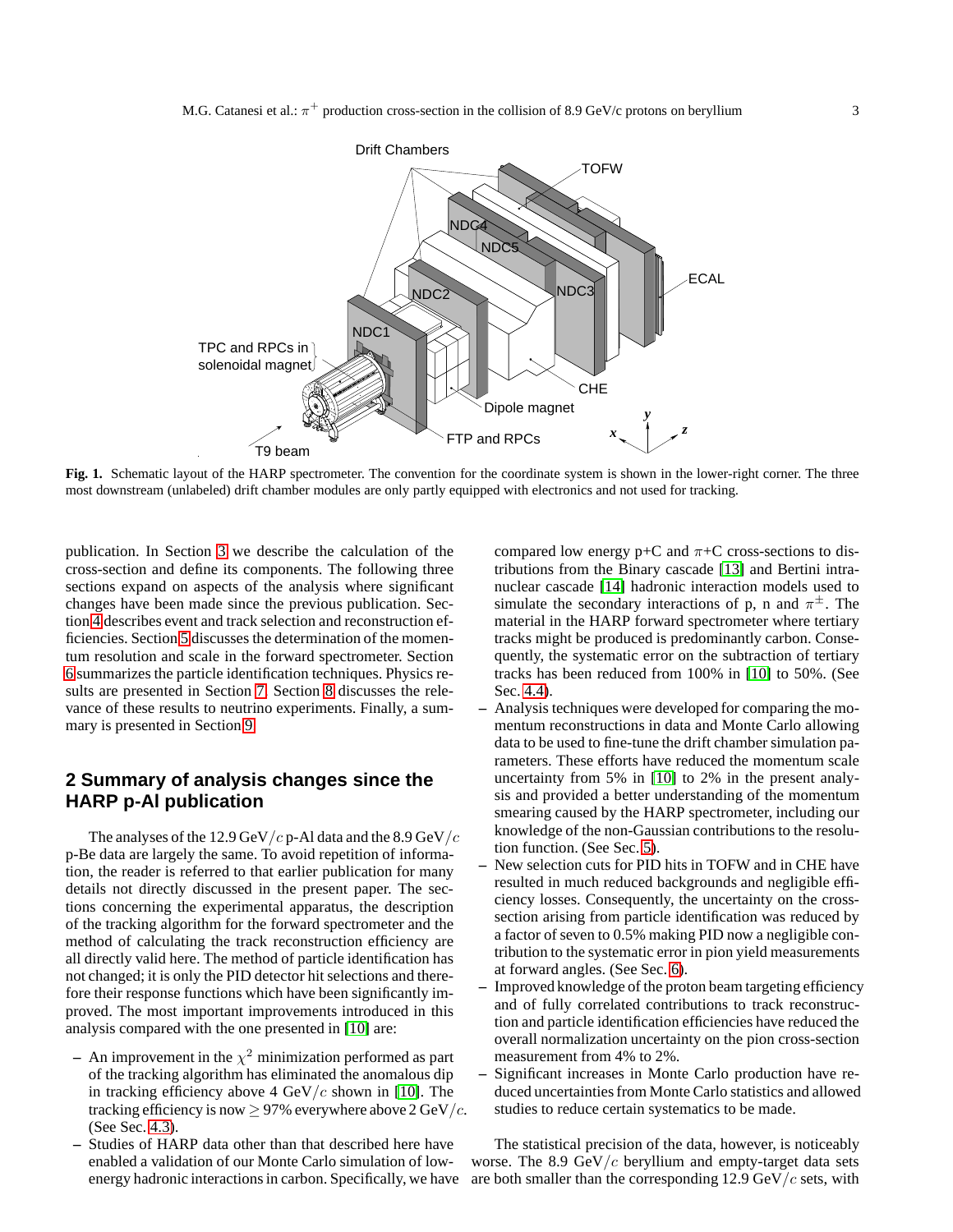

<span id="page-2-0"></span>**Fig. 1.** Schematic layout of the HARP spectrometer. The convention for the coordinate system is shown in the lower-right corner. The three most downstream (unlabeled) drift chamber modules are only partly equipped with electronics and not used for tracking.

publication. In Section [3](#page-3-0) we describe the calculation of the cross-section and define its components. The following three sections expand on aspects of the analysis where significant changes have been made since the previous publication. Section [4](#page-4-0) describes event and track selection and reconstruction efficiencies. Section [5](#page-7-0) discusses the determination of the momentum resolution and scale in the forward spectrometer. Section [6](#page-10-0) summarizes the particle identification techniques. Physics results are presented in Section [7.](#page-13-0) Section [8](#page-16-0) discusses the relevance of these results to neutrino experiments. Finally, a summary is presented in Section [9.](#page-18-9)

## <span id="page-2-1"></span>**2 Summary of analysis changes since the HARP p-Al publication**

The analyses of the 12.9 GeV/c p-Al data and the 8.9 GeV/c p-Be data are largely the same. To avoid repetition of information, the reader is referred to that earlier publication for many details not directly discussed in the present paper. The sections concerning the experimental apparatus, the description of the tracking algorithm for the forward spectrometer and the method of calculating the track reconstruction efficiency are all directly valid here. The method of particle identification has not changed; it is only the PID detector hit selections and therefore their response functions which have been significantly improved. The most important improvements introduced in this analysis compared with the one presented in [\[10\]](#page-18-6) are:

- $-$  An improvement in the  $\chi^2$  minimization performed as part of the tracking algorithm has eliminated the anomalous dip in tracking efficiency above 4 GeV/ $c$  shown in [\[10\]](#page-18-6). The tracking efficiency is now  $\geq$  97% everywhere above 2 GeV/c. (See Sec. [4.3\)](#page-6-0).
- **–** Studies of HARP data other than that described here have enabled a validation of our Monte Carlo simulation of lowenergy hadronic interactions in carbon. Specifically, we have

compared low energy  $p+C$  and  $\pi+C$  cross-sections to distributions from the Binary cascade [\[13\]](#page-18-10) and Bertini intranuclear cascade [\[14\]](#page-18-11) hadronic interaction models used to simulate the secondary interactions of p, n and  $\pi^{\pm}$ . The material in the HARP forward spectrometer where tertiary tracks might be produced is predominantly carbon. Consequently, the systematic error on the subtraction of tertiary tracks has been reduced from 100% in [\[10\]](#page-18-6) to 50%. (See Sec. [4.4\)](#page-6-1).

- **–** Analysis techniques were developed for comparing the momentum reconstructions in data and Monte Carlo allowing data to be used to fine-tune the drift chamber simulation parameters. These efforts have reduced the momentum scale uncertainty from 5% in [\[10\]](#page-18-6) to 2% in the present analysis and provided a better understanding of the momentum smearing caused by the HARP spectrometer, including our knowledge of the non-Gaussian contributions to the resolution function. (See Sec. [5\)](#page-7-0).
- **–** New selection cuts for PID hits in TOFW and in CHE have resulted in much reduced backgrounds and negligible efficiency losses. Consequently, the uncertainty on the crosssection arising from particle identification was reduced by a factor of seven to 0.5% making PID now a negligible contribution to the systematic error in pion yield measurements at forward angles. (See Sec. [6\)](#page-10-0).
- **–** Improved knowledge of the proton beam targeting efficiency and of fully correlated contributions to track reconstruction and particle identification efficiencies have reduced the overall normalization uncertainty on the pion cross-section measurement from 4% to 2%.
- **–** Significant increases in Monte Carlo production have reduced uncertainties from Monte Carlo statistics and allowed studies to reduce certain systematics to be made.

The statistical precision of the data, however, is noticeably worse. The 8.9 GeV/ $c$  beryllium and empty-target data sets are both smaller than the corresponding  $12.9 \text{ GeV}/c$  sets, with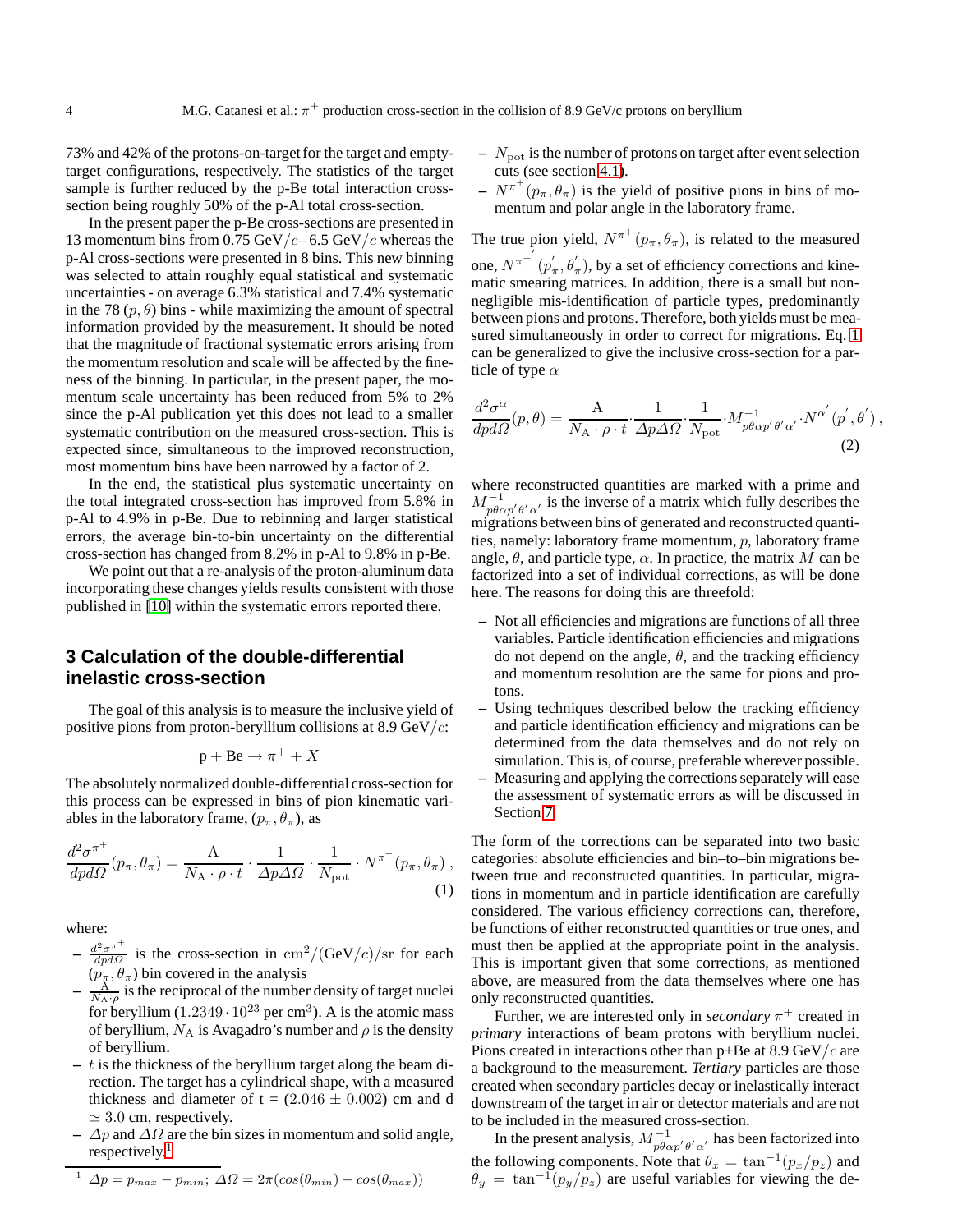73% and 42% of the protons-on-target for the target and emptytarget configurations, respectively. The statistics of the target sample is further reduced by the p-Be total interaction crosssection being roughly 50% of the p-Al total cross-section.

In the present paper the p-Be cross-sections are presented in 13 momentum bins from 0.75 GeV/ $c$ – 6.5 GeV/c whereas the p-Al cross-sections were presented in 8 bins. This new binning was selected to attain roughly equal statistical and systematic uncertainties - on average 6.3% statistical and 7.4% systematic in the 78  $(p, \theta)$  bins - while maximizing the amount of spectral information provided by the measurement. It should be noted that the magnitude of fractional systematic errors arising from the momentum resolution and scale will be affected by the fineness of the binning. In particular, in the present paper, the momentum scale uncertainty has been reduced from 5% to 2% since the p-Al publication yet this does not lead to a smaller systematic contribution on the measured cross-section. This is expected since, simultaneous to the improved reconstruction, most momentum bins have been narrowed by a factor of 2.

In the end, the statistical plus systematic uncertainty on the total integrated cross-section has improved from 5.8% in p-Al to 4.9% in p-Be. Due to rebinning and larger statistical errors, the average bin-to-bin uncertainty on the differential cross-section has changed from 8.2% in p-Al to 9.8% in p-Be.

We point out that a re-analysis of the proton-aluminum data incorporating these changes yields results consistent with those published in [\[10\]](#page-18-6) within the systematic errors reported there.

## <span id="page-3-0"></span>**3 Calculation of the double-differential inelastic cross-section**

The goal of this analysis is to measure the inclusive yield of positive pions from proton-beryllium collisions at 8.9 GeV/ $c$ :

$$
p + Be \rightarrow \pi^+ + X
$$

The absolutely normalized double-differential cross-section for this process can be expressed in bins of pion kinematic variables in the laboratory frame,  $(p_{\pi}, \theta_{\pi})$ , as

<span id="page-3-2"></span>
$$
\frac{d^2\sigma^{\pi^+}}{dpd\Omega}(p_\pi, \theta_\pi) = \frac{A}{N_A \cdot \rho \cdot t} \cdot \frac{1}{\Delta p \Delta \Omega} \cdot \frac{1}{N_{\text{pot}}} \cdot N^{\pi^+}(p_\pi, \theta_\pi) ,\tag{1}
$$

where:

- $-\frac{d^2\sigma^{\pi^+}}{dpd\Omega}$  is the cross-section in cm<sup>2</sup>/(GeV/c)/sr for each  $(p_{\pi}, \theta_{\pi})$  bin covered in the analysis
- $-\frac{A}{N_A \cdot \rho}$  is the reciprocal of the number density of target nuclei for beryllium  $(1.2349 \cdot 10^{23} \text{ per cm}^3)$ . A is the atomic mass of beryllium,  $N_A$  is Avagadro's number and  $\rho$  is the density of beryllium.
- **–** t is the thickness of the beryllium target along the beam direction. The target has a cylindrical shape, with a measured thickness and diameter of  $t = (2.046 \pm 0.002)$  cm and d  $\simeq$  3.0 cm, respectively.
- $\Delta p$  and  $\Delta \Omega$  are the bin sizes in momentum and solid angle, respectively.<sup>[1](#page-3-1)</sup>

<span id="page-3-1"></span>
$$
{}^{1} \Delta p = p_{max} - p_{min}; \Delta \Omega = 2\pi (cos(\theta_{min}) - cos(\theta_{max}))
$$

- **–** Npot is the number of protons on target after event selection cuts (see section [4.1\)](#page-4-1).
- $-N^{\pi^+}(p_{\pi}, \theta_{\pi})$  is the yield of positive pions in bins of momentum and polar angle in the laboratory frame.

The true pion yield,  $N^{\pi^+}(p_{\pi}, \theta_{\pi})$ , is related to the measured one,  $N^{\pi^{+}}$  $(p_1)$  $\sigma'_{\pi}$ ,  $\theta'_{\pi}$ ), by a set of efficiency corrections and kinematic smearing matrices. In addition, there is a small but nonnegligible mis-identification of particle types, predominantly between pions and protons. Therefore, both yields must be measured simultaneously in order to correct for migrations. Eq. [1](#page-3-2) can be generalized to give the inclusive cross-section for a particle of type  $\alpha$ 

$$
\frac{d^2\sigma^{\alpha}}{dpd\Omega}(p,\theta) = \frac{A}{N_A \cdot \rho \cdot t} \cdot \frac{1}{\Delta p \Delta \Omega} \cdot \frac{1}{N_{\text{pot}}} \cdot M_{p\theta\alpha p'\theta'\alpha'}^{-1} \cdot N^{\alpha'}(p',\theta'),\tag{2}
$$

where reconstructed quantities are marked with a prime and  $M_{p\theta\alpha p'\theta'\alpha'}^{-1}$  is the inverse of a matrix which fully describes the migrations between bins of generated and reconstructed quantities, namely: laboratory frame momentum, p, laboratory frame angle,  $\theta$ , and particle type,  $\alpha$ . In practice, the matrix M can be factorized into a set of individual corrections, as will be done here. The reasons for doing this are threefold:

- **–** Not all efficiencies and migrations are functions of all three variables. Particle identification efficiencies and migrations do not depend on the angle,  $\theta$ , and the tracking efficiency and momentum resolution are the same for pions and protons.
- **–** Using techniques described below the tracking efficiency and particle identification efficiency and migrations can be determined from the data themselves and do not rely on simulation. This is, of course, preferable wherever possible.
- **–** Measuring and applying the corrections separately will ease the assessment of systematic errors as will be discussed in Section [7.](#page-13-0)

The form of the corrections can be separated into two basic categories: absolute efficiencies and bin–to–bin migrations between true and reconstructed quantities. In particular, migrations in momentum and in particle identification are carefully considered. The various efficiency corrections can, therefore, be functions of either reconstructed quantities or true ones, and must then be applied at the appropriate point in the analysis. This is important given that some corrections, as mentioned above, are measured from the data themselves where one has only reconstructed quantities.

Further, we are interested only in *secondary*  $\pi^{+}$  created in *primary* interactions of beam protons with beryllium nuclei. Pions created in interactions other than  $p + Be$  at 8.9 GeV/c are a background to the measurement. *Tertiary* particles are those created when secondary particles decay or inelastically interact downstream of the target in air or detector materials and are not to be included in the measured cross-section.

In the present analysis,  $M_{p\theta\alpha p'\theta'\alpha'}^{-1}$  has been factorized into the following components. Note that  $\theta_x = \tan^{-1}(p_x/p_z)$  and  $\theta_y = \tan^{-1}(p_y/p_z)$  are useful variables for viewing the de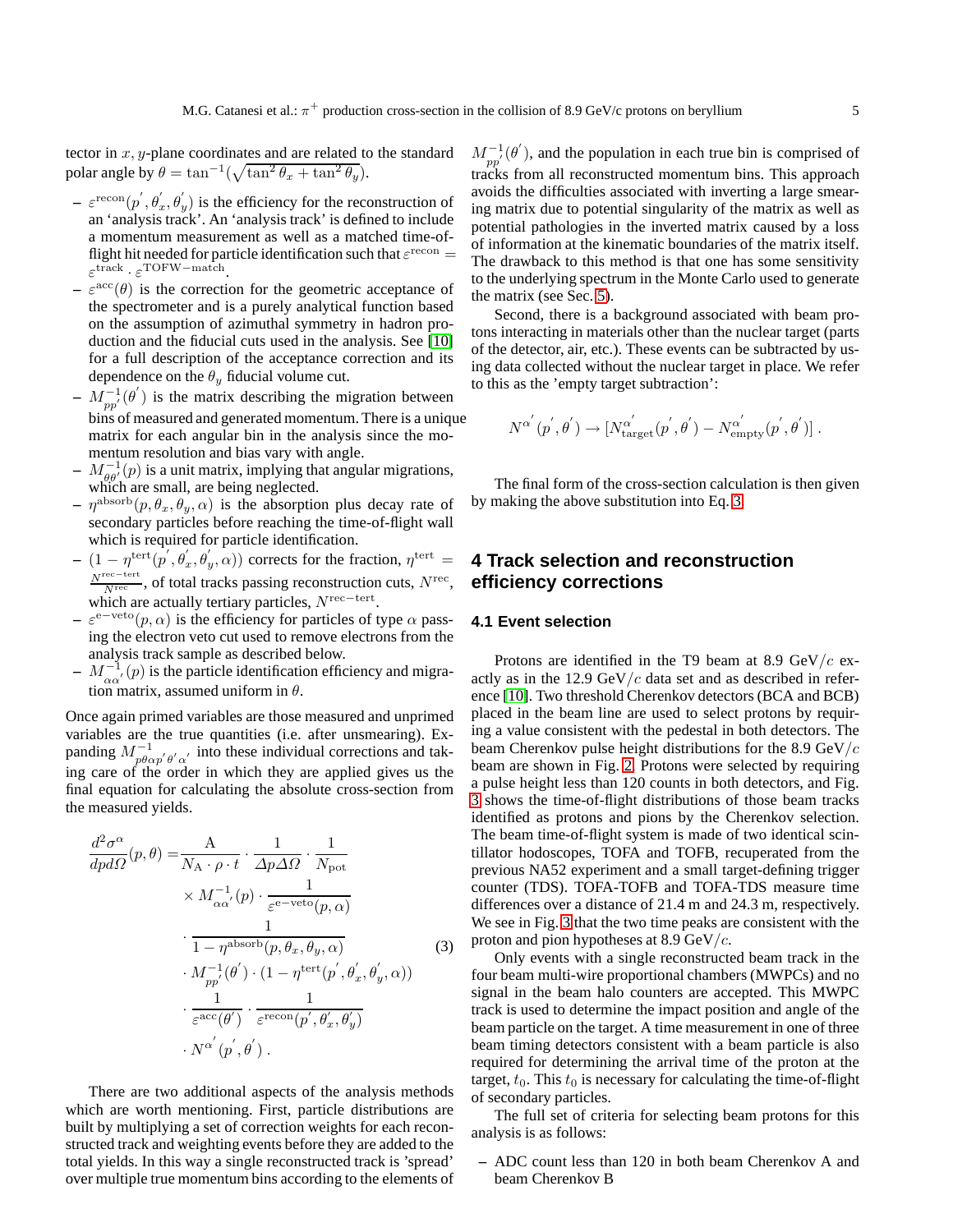tector in  $x, y$ -plane coordinates and are related to the standard polar angle by  $\theta = \tan^{-1}(\sqrt{\tan^2\theta_x + \tan^2\theta_y})$ .

- $-\varepsilon^{\text{recon}}(p', \theta'_x, \theta'_y)$  is the efficiency for the reconstruction of an 'analysis track'. An 'analysis track' is defined to include a momentum measurement as well as a matched time-offlight hit needed for particle identification such that  $\varepsilon^{\text{recon}} =$  $\varepsilon^{\text{track}} \cdot \varepsilon^{\text{TOFW-match}}$ .
- $-\varepsilon^{acc}(\theta)$  is the correction for the geometric acceptance of the spectrometer and is a purely analytical function based on the assumption of azimuthal symmetry in hadron production and the fiducial cuts used in the analysis. See [\[10\]](#page-18-6) for a full description of the acceptance correction and its dependence on the  $\theta_y$  fiducial volume cut.
- $-\overline{M}_{pp'}^{-1}(\theta')$  is the matrix describing the migration between bins of measured and generated momentum. There is a unique matrix for each angular bin in the analysis since the momentum resolution and bias vary with angle.
- $M^{-1}_{\theta\theta'}(p)$  is a unit matrix, implying that angular migrations, which are small, are being neglected.
- $-\eta^{\text{absorb}}(p,\theta_x,\theta_y,\alpha)$  is the absorption plus decay rate of secondary particles before reaching the time-of-flight wall which is required for particle identification.
- $(1 \eta^{\text{tert}}(p', \theta'_x, \theta'_y, \alpha))$  corrects for the fraction,  $\eta^{\text{tert}} =$  $\frac{N^{\text{rec}-\text{tert}}}{N^{\text{rec}}}$ , of total tracks passing reconstruction cuts,  $N^{\text{rec}}$ , which are actually tertiary particles,  $N^{\text{rec-tert}}$ .
- $\varepsilon^{e-{\rm veto}}(p,\alpha)$  is the efficiency for particles of type  $\alpha$  passing the electron veto cut used to remove electrons from the analysis track sample as described below.
- $M^{-1}_{\alpha\alpha'}(p)$  is the particle identification efficiency and migration matrix, assumed uniform in  $\theta$ .

Once again primed variables are those measured and unprimed variables are the true quantities (i.e. after unsmearing). Expanding  $M_{p\theta\alpha p'\theta'\alpha'}^{-1}$  into these individual corrections and taking care of the order in which they are applied gives us the final equation for calculating the absolute cross-section from the measured yields.

<span id="page-4-2"></span>
$$
\frac{d^2 \sigma^{\alpha}}{dp d\Omega}(p, \theta) = \frac{A}{N_A \cdot \rho \cdot t} \cdot \frac{1}{\Delta p \Delta \Omega} \cdot \frac{1}{N_{\text{pot}}} \times M_{\alpha\alpha'}^{-1}(p) \cdot \frac{1}{\varepsilon^{\text{e}-\text{veto}}(p, \alpha)} \cdot \frac{1}{1 - \eta^{\text{absorb}}(p, \theta_x, \theta_y, \alpha)} \cdot \frac{1}{M_{pp'}^{-1}(\theta') \cdot (1 - \eta^{\text{tert}}(p', \theta_x', \theta_y', \alpha))} \cdot \frac{1}{\frac{1}{\varepsilon^{\text{e}}(P(\theta') \cdot \dots \cdot P_{\text{c}}(p', \theta_x', \theta_y', \alpha'))}{1 - \frac{1}{\varepsilon^{\text{e}}(P(\theta') \cdot \dots \cdot P_{\text{c}}(p', \theta_x', \theta_y', \alpha'))}}
$$
\n(3)

$$
\frac{\partial}{\partial \varepsilon^{acc}(\theta')} \cdot \frac{\partial}{\partial \varepsilon^{recon}(p', \theta'_x, \theta'_y)} \cdot N^{\alpha'}(p', \theta') .
$$

There are two additional aspects of the analysis methods which are worth mentioning. First, particle distributions are built by multiplying a set of correction weights for each reconstructed track and weighting events before they are added to the total yields. In this way a single reconstructed track is 'spread' over multiple true momentum bins according to the elements of

 $M_{pp'}^{-1}(\theta')$ , and the population in each true bin is comprised of tracks from all reconstructed momentum bins. This approach avoids the difficulties associated with inverting a large smearing matrix due to potential singularity of the matrix as well as potential pathologies in the inverted matrix caused by a loss of information at the kinematic boundaries of the matrix itself. The drawback to this method is that one has some sensitivity to the underlying spectrum in the Monte Carlo used to generate the matrix (see Sec. [5\)](#page-7-0).

Second, there is a background associated with beam protons interacting in materials other than the nuclear target (parts of the detector, air, etc.). These events can be subtracted by using data collected without the nuclear target in place. We refer to this as the 'empty target subtraction':

$$
N^{\alpha^{'}}(p^{'},\boldsymbol{\theta^{'}})\rightarrow [N^{\alpha^{'}}_{\mathrm{target}}(p^{'},\boldsymbol{\theta^{'}})-N^{\alpha^{'}}_{\mathrm{empty}}(p^{'},\boldsymbol{\theta^{'}})]\;.
$$

The final form of the cross-section calculation is then given by making the above substitution into Eq. [3.](#page-4-2)

## <span id="page-4-0"></span>**4 Track selection and reconstruction efficiency corrections**

#### <span id="page-4-1"></span>**4.1 Event selection**

Protons are identified in the T9 beam at 8.9 GeV/ $c$  exactly as in the 12.9 GeV/ $c$  data set and as described in reference [\[10\]](#page-18-6). Two threshold Cherenkov detectors (BCA and BCB) placed in the beam line are used to select protons by requiring a value consistent with the pedestal in both detectors. The beam Cherenkov pulse height distributions for the 8.9 GeV/c beam are shown in Fig. [2.](#page-5-0) Protons were selected by requiring a pulse height less than 120 counts in both detectors, and Fig. [3](#page-5-1) shows the time-of-flight distributions of those beam tracks identified as protons and pions by the Cherenkov selection. The beam time-of-flight system is made of two identical scintillator hodoscopes, TOFA and TOFB, recuperated from the previous NA52 experiment and a small target-defining trigger counter (TDS). TOFA-TOFB and TOFA-TDS measure time differences over a distance of 21.4 m and 24.3 m, respectively. We see in Fig. [3](#page-5-1) that the two time peaks are consistent with the proton and pion hypotheses at 8.9 GeV/c.

Only events with a single reconstructed beam track in the four beam multi-wire proportional chambers (MWPCs) and no signal in the beam halo counters are accepted. This MWPC track is used to determine the impact position and angle of the beam particle on the target. A time measurement in one of three beam timing detectors consistent with a beam particle is also required for determining the arrival time of the proton at the target,  $t_0$ . This  $t_0$  is necessary for calculating the time-of-flight of secondary particles.

The full set of criteria for selecting beam protons for this analysis is as follows:

**–** ADC count less than 120 in both beam Cherenkov A and beam Cherenkov B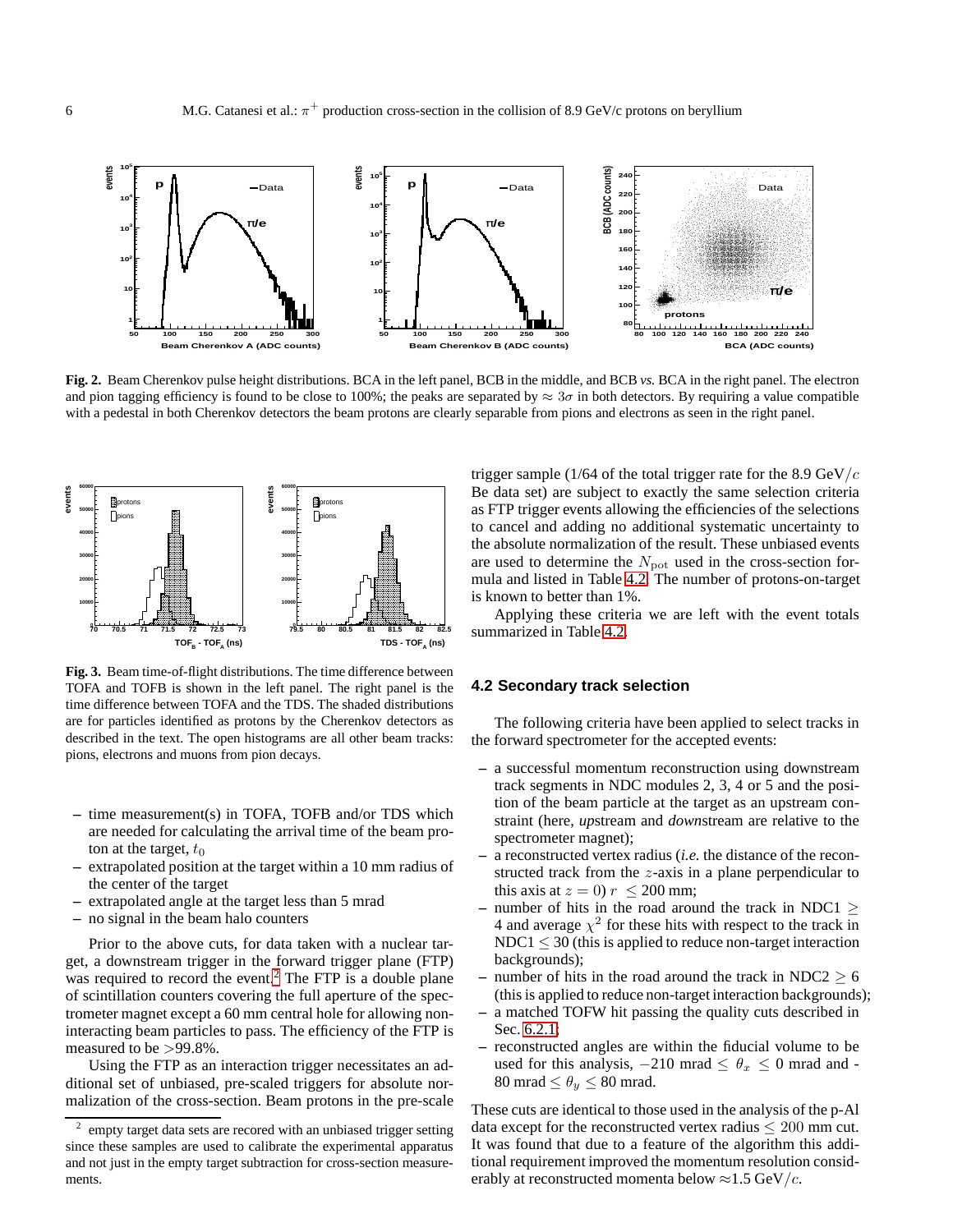

<span id="page-5-0"></span>**Fig. 2.** Beam Cherenkov pulse height distributions. BCA in the left panel, BCB in the middle, and BCB *vs.* BCA in the right panel. The electron and pion tagging efficiency is found to be close to 100%; the peaks are separated by  $\approx 3\sigma$  in both detectors. By requiring a value compatible with a pedestal in both Cherenkov detectors the beam protons are clearly separable from pions and electrons as seen in the right panel.



<span id="page-5-1"></span>**Fig. 3.** Beam time-of-flight distributions. The time difference between TOFA and TOFB is shown in the left panel. The right panel is the time difference between TOFA and the TDS. The shaded distributions are for particles identified as protons by the Cherenkov detectors as described in the text. The open histograms are all other beam tracks: pions, electrons and muons from pion decays.

- **–** time measurement(s) in TOFA, TOFB and/or TDS which are needed for calculating the arrival time of the beam proton at the target,  $t_0$
- **–** extrapolated position at the target within a 10 mm radius of the center of the target
- **–** extrapolated angle at the target less than 5 mrad
- **–** no signal in the beam halo counters

Prior to the above cuts, for data taken with a nuclear target, a downstream trigger in the forward trigger plane (FTP) was required to record the event.<sup>[2](#page-5-2)</sup> The FTP is a double plane of scintillation counters covering the full aperture of the spectrometer magnet except a 60 mm central hole for allowing noninteracting beam particles to pass. The efficiency of the FTP is measured to be >99.8%.

Using the FTP as an interaction trigger necessitates an additional set of unbiased, pre-scaled triggers for absolute normalization of the cross-section. Beam protons in the pre-scale

trigger sample (1/64 of the total trigger rate for the 8.9 GeV/ $c$ Be data set) are subject to exactly the same selection criteria as FTP trigger events allowing the efficiencies of the selections to cancel and adding no additional systematic uncertainty to the absolute normalization of the result. These unbiased events are used to determine the  $N_{\text{pot}}$  used in the cross-section formula and listed in Table [4.2.](#page-5-3) The number of protons-on-target is known to better than 1%.

Applying these criteria we are left with the event totals summarized in Table [4.2.](#page-5-3)

#### <span id="page-5-3"></span>**4.2 Secondary track selection**

The following criteria have been applied to select tracks in the forward spectrometer for the accepted events:

- **–** a successful momentum reconstruction using downstream track segments in NDC modules 2, 3, 4 or 5 and the position of the beam particle at the target as an upstream constraint (here, *up*stream and *down*stream are relative to the spectrometer magnet);
- **–** a reconstructed vertex radius (*i.e.* the distance of the reconstructed track from the z-axis in a plane perpendicular to this axis at  $z = 0$ )  $r \le 200$  mm;
- number of hits in the road around the track in NDC1  $\geq$ 4 and average  $\chi^2$  for these hits with respect to the track in  $NDC1 \leq 30$  (this is applied to reduce non-target interaction backgrounds);
- number of hits in the road around the track in NDC2  $> 6$ (this is applied to reduce non-target interaction backgrounds);
- **–** a matched TOFW hit passing the quality cuts described in Sec. [6.2.1;](#page-11-0)
- **–** reconstructed angles are within the fiducial volume to be used for this analysis,  $-210$  mrad  $\leq \theta_x \leq 0$  mrad and -80 mrad  $\leq \theta_y \leq 80$  mrad.

These cuts are identical to those used in the analysis of the p-Al data except for the reconstructed vertex radius  $\leq 200$  mm cut. It was found that due to a feature of the algorithm this additional requirement improved the momentum resolution considerably at reconstructed momenta below  $\approx$  1.5 GeV/c.

<span id="page-5-2"></span><sup>2</sup> empty target data sets are recored with an unbiased trigger setting since these samples are used to calibrate the experimental apparatus and not just in the empty target subtraction for cross-section measurements.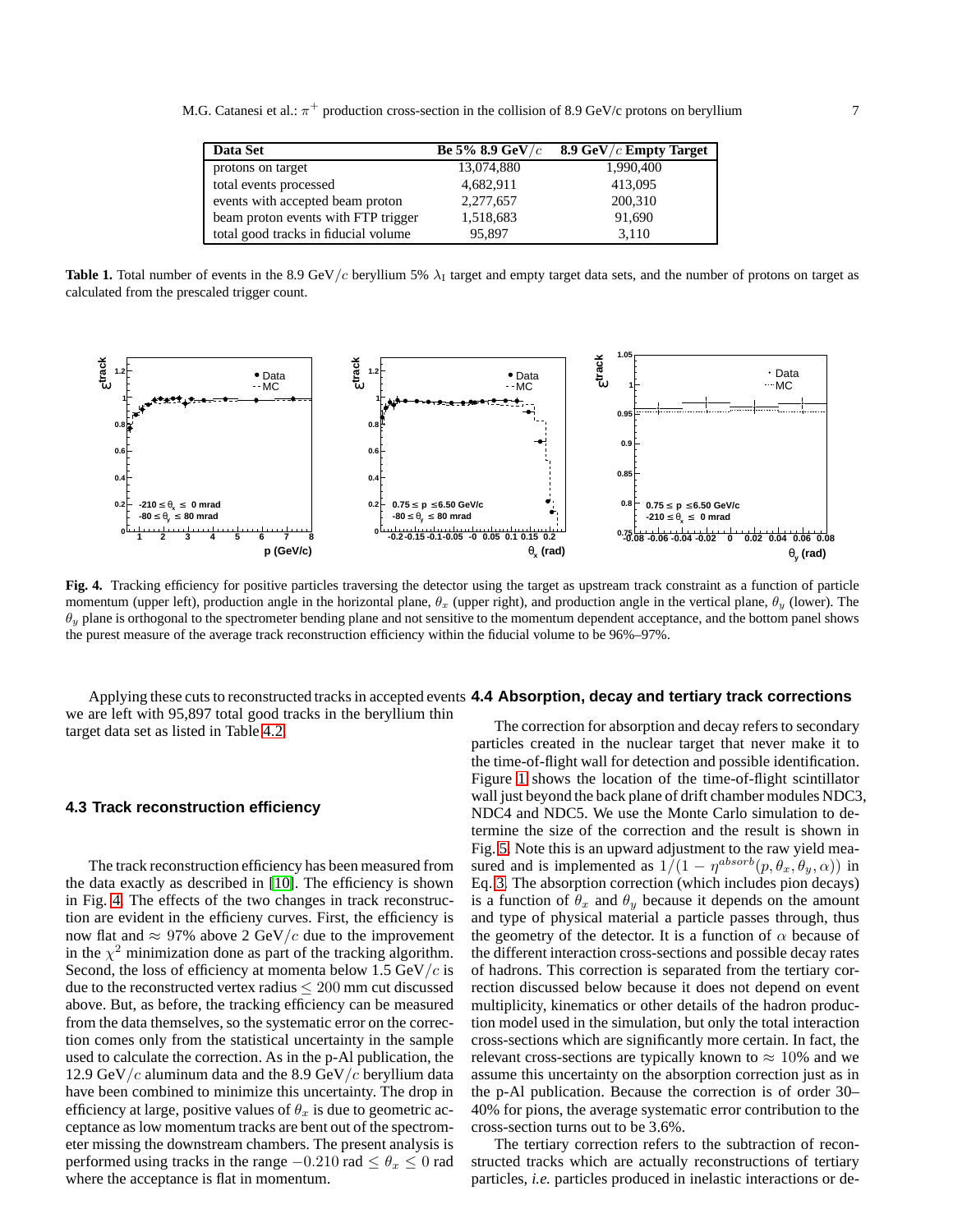M.G. Catanesi et al.:  $\pi^{+}$  production cross-section in the collision of 8.9 GeV/c protons on beryllium 7

| Data Set                             | <b>Be 5% 8.9 GeV/</b> $c$ | 8.9 GeV/ $c$ Empty Target |
|--------------------------------------|---------------------------|---------------------------|
| protons on target                    | 13,074,880                | 1,990,400                 |
| total events processed               | 4,682,911                 | 413,095                   |
| events with accepted beam proton     | 2,277,657                 | 200,310                   |
| beam proton events with FTP trigger  | 1,518,683                 | 91,690                    |
| total good tracks in fiducial volume | 95.897                    | 3,110                     |

**Table 1.** Total number of events in the 8.9 GeV/c beryllium 5%  $\lambda_I$  target and empty target data sets, and the number of protons on target as calculated from the prescaled trigger count.



<span id="page-6-2"></span>**Fig. 4.** Tracking efficiency for positive particles traversing the detector using the target as upstream track constraint as a function of particle momentum (upper left), production angle in the horizontal plane,  $\theta_x$  (upper right), and production angle in the vertical plane,  $\theta_y$  (lower). The  $\theta_y$  plane is orthogonal to the spectrometer bending plane and not sensitive to the momentum dependent acceptance, and the bottom panel shows the purest measure of the average track reconstruction efficiency within the fiducial volume to be 96%–97%.

we are left with 95,897 total good tracks in the beryllium thin target data set as listed in Table [4.2.](#page-5-3)

#### <span id="page-6-0"></span>**4.3 Track reconstruction efficiency**

The track reconstruction efficiency has been measured from the data exactly as described in [\[10\]](#page-18-6). The efficiency is shown in Fig. [4.](#page-6-2) The effects of the two changes in track reconstruction are evident in the efficieny curves. First, the efficiency is now flat and  $\approx 97\%$  above 2 GeV/c due to the improvement in the  $\chi^2$  minimization done as part of the tracking algorithm. Second, the loss of efficiency at momenta below  $1.5 \text{ GeV}/c$  is due to the reconstructed vertex radius ≤ 200 mm cut discussed above. But, as before, the tracking efficiency can be measured from the data themselves, so the systematic error on the correction comes only from the statistical uncertainty in the sample used to calculate the correction. As in the p-Al publication, the 12.9 GeV/c aluminum data and the 8.9 GeV/c beryllium data have been combined to minimize this uncertainty. The drop in efficiency at large, positive values of  $\theta_x$  is due to geometric acceptance as low momentum tracks are bent out of the spectrometer missing the downstream chambers. The present analysis is performed using tracks in the range  $-0.210$  rad  $\leq \theta_x \leq 0$  rad where the acceptance is flat in momentum.

## Applying these cuts to reconstructed tracks in accepted events **4.4 Absorption, decay and tertiary track corrections**

<span id="page-6-1"></span>The correction for absorption and decay refers to secondary particles created in the nuclear target that never make it to the time-of-flight wall for detection and possible identification. Figure [1](#page-2-0) shows the location of the time-of-flight scintillator wall just beyond the back plane of drift chamber modules NDC3, NDC4 and NDC5. We use the Monte Carlo simulation to determine the size of the correction and the result is shown in Fig. [5.](#page-7-1) Note this is an upward adjustment to the raw yield measured and is implemented as  $1/(1 - \eta^{absorb}(p, \theta_x, \theta_y, \alpha))$  in Eq. [3.](#page-4-2) The absorption correction (which includes pion decays) is a function of  $\theta_x$  and  $\theta_y$  because it depends on the amount and type of physical material a particle passes through, thus the geometry of the detector. It is a function of  $\alpha$  because of the different interaction cross-sections and possible decay rates of hadrons. This correction is separated from the tertiary correction discussed below because it does not depend on event multiplicity, kinematics or other details of the hadron production model used in the simulation, but only the total interaction cross-sections which are significantly more certain. In fact, the relevant cross-sections are typically known to  $\approx 10\%$  and we assume this uncertainty on the absorption correction just as in the p-Al publication. Because the correction is of order 30– 40% for pions, the average systematic error contribution to the cross-section turns out to be 3.6%.

The tertiary correction refers to the subtraction of reconstructed tracks which are actually reconstructions of tertiary particles, *i.e.* particles produced in inelastic interactions or de-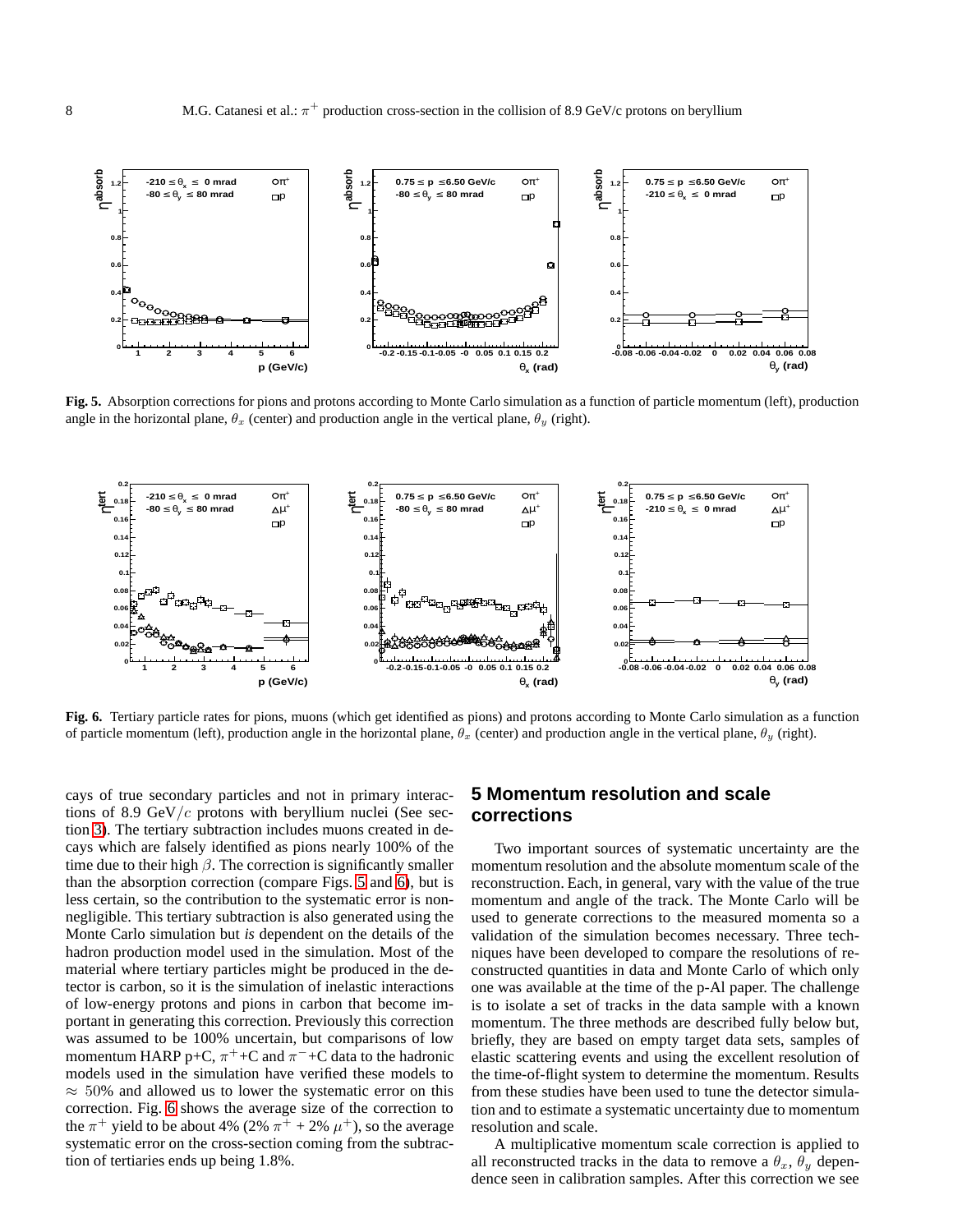

<span id="page-7-1"></span>**Fig. 5.** Absorption corrections for pions and protons according to Monte Carlo simulation as a function of particle momentum (left), production angle in the horizontal plane,  $\theta_x$  (center) and production angle in the vertical plane,  $\theta_y$  (right).



<span id="page-7-2"></span>**Fig. 6.** Tertiary particle rates for pions, muons (which get identified as pions) and protons according to Monte Carlo simulation as a function of particle momentum (left), production angle in the horizontal plane,  $\theta_x$  (center) and production angle in the vertical plane,  $\theta_y$  (right).

cays of true secondary particles and not in primary interactions of 8.9 GeV/ $c$  protons with beryllium nuclei (See section [3\)](#page-3-0). The tertiary subtraction includes muons created in decays which are falsely identified as pions nearly 100% of the time due to their high  $\beta$ . The correction is significantly smaller than the absorption correction (compare Figs. [5](#page-7-1) and [6\)](#page-7-2), but is less certain, so the contribution to the systematic error is nonnegligible. This tertiary subtraction is also generated using the Monte Carlo simulation but *is* dependent on the details of the hadron production model used in the simulation. Most of the material where tertiary particles might be produced in the detector is carbon, so it is the simulation of inelastic interactions of low-energy protons and pions in carbon that become important in generating this correction. Previously this correction was assumed to be 100% uncertain, but comparisons of low momentum HARP p+C,  $\pi^+$ +C and  $\pi^-$ +C data to the hadronic models used in the simulation have verified these models to  $\approx$  50% and allowed us to lower the systematic error on this correction. Fig. [6](#page-7-2) shows the average size of the correction to the  $\pi^+$  yield to be about 4% (2%  $\pi^+$  + 2%  $\mu^+$ ), so the average systematic error on the cross-section coming from the subtraction of tertiaries ends up being 1.8%.

## <span id="page-7-0"></span>**5 Momentum resolution and scale corrections**

Two important sources of systematic uncertainty are the momentum resolution and the absolute momentum scale of the reconstruction. Each, in general, vary with the value of the true momentum and angle of the track. The Monte Carlo will be used to generate corrections to the measured momenta so a validation of the simulation becomes necessary. Three techniques have been developed to compare the resolutions of reconstructed quantities in data and Monte Carlo of which only one was available at the time of the p-Al paper. The challenge is to isolate a set of tracks in the data sample with a known momentum. The three methods are described fully below but, briefly, they are based on empty target data sets, samples of elastic scattering events and using the excellent resolution of the time-of-flight system to determine the momentum. Results from these studies have been used to tune the detector simulation and to estimate a systematic uncertainty due to momentum resolution and scale.

A multiplicative momentum scale correction is applied to all reconstructed tracks in the data to remove a  $\theta_x$ ,  $\theta_y$  dependence seen in calibration samples. After this correction we see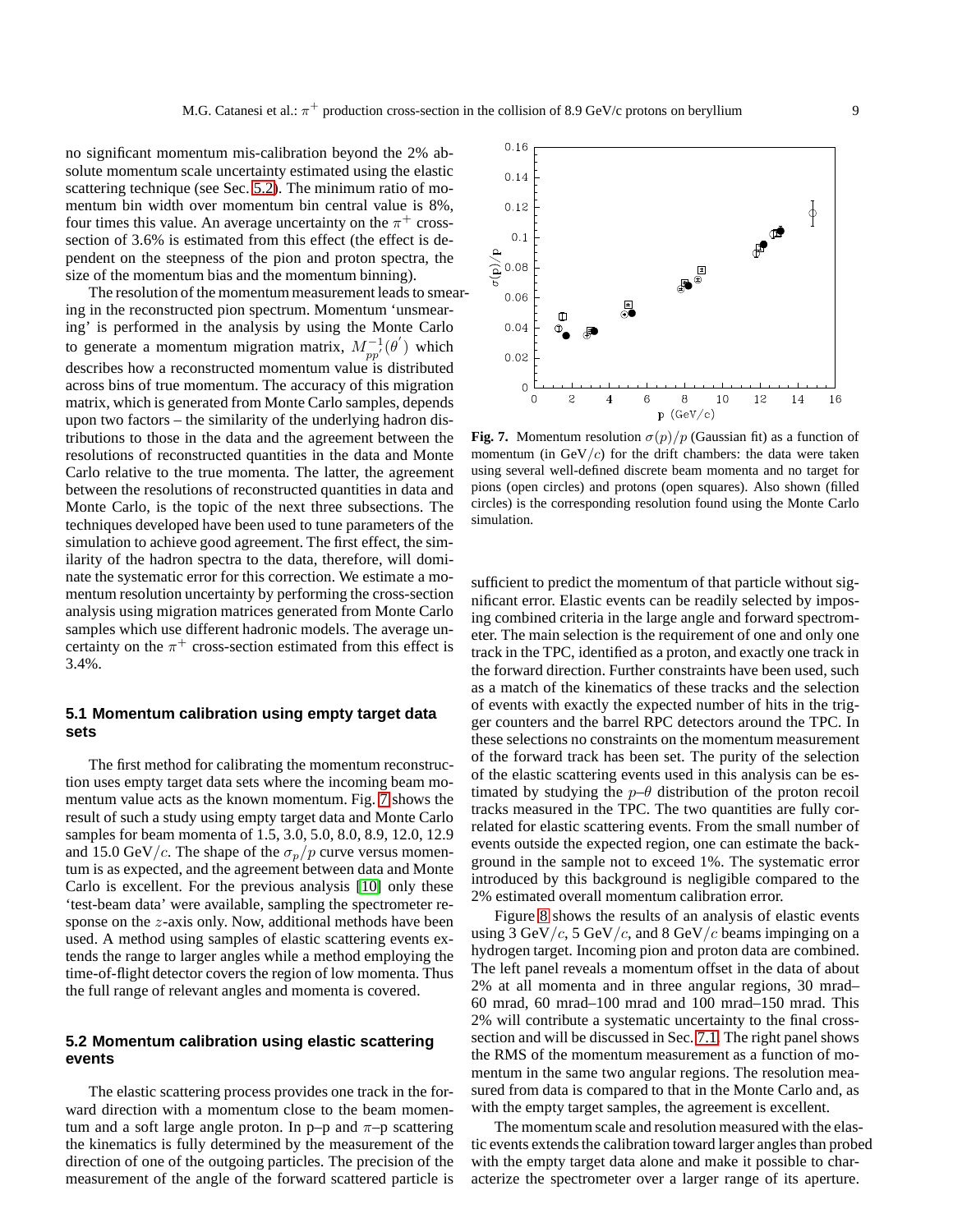no significant momentum mis-calibration beyond the 2% absolute momentum scale uncertainty estimated using the elastic scattering technique (see Sec. [5.2\)](#page-8-0). The minimum ratio of momentum bin width over momentum bin central value is 8%, four times this value. An average uncertainty on the  $\pi^+$  crosssection of 3.6% is estimated from this effect (the effect is dependent on the steepness of the pion and proton spectra, the size of the momentum bias and the momentum binning).

The resolution of the momentum measurement leads to smearing in the reconstructed pion spectrum. Momentum 'unsmearing' is performed in the analysis by using the Monte Carlo to generate a momentum migration matrix,  $M_{pp'}^{-1}(\theta')$  which describes how a reconstructed momentum value is distributed across bins of true momentum. The accuracy of this migration matrix, which is generated from Monte Carlo samples, depends upon two factors – the similarity of the underlying hadron distributions to those in the data and the agreement between the resolutions of reconstructed quantities in the data and Monte Carlo relative to the true momenta. The latter, the agreement between the resolutions of reconstructed quantities in data and Monte Carlo, is the topic of the next three subsections. The techniques developed have been used to tune parameters of the simulation to achieve good agreement. The first effect, the similarity of the hadron spectra to the data, therefore, will dominate the systematic error for this correction. We estimate a momentum resolution uncertainty by performing the cross-section analysis using migration matrices generated from Monte Carlo samples which use different hadronic models. The average uncertainty on the  $\pi^+$  cross-section estimated from this effect is 3.4%.

#### **5.1 Momentum calibration using empty target data sets**

The first method for calibrating the momentum reconstruction uses empty target data sets where the incoming beam momentum value acts as the known momentum. Fig. [7](#page-8-1) shows the result of such a study using empty target data and Monte Carlo samples for beam momenta of 1.5, 3.0, 5.0, 8.0, 8.9, 12.0, 12.9 and 15.0 GeV/c. The shape of the  $\sigma_p/p$  curve versus momentum is as expected, and the agreement between data and Monte Carlo is excellent. For the previous analysis [\[10\]](#page-18-6) only these 'test-beam data' were available, sampling the spectrometer response on the z-axis only. Now, additional methods have been used. A method using samples of elastic scattering events extends the range to larger angles while a method employing the time-of-flight detector covers the region of low momenta. Thus the full range of relevant angles and momenta is covered.

#### <span id="page-8-0"></span>**5.2 Momentum calibration using elastic scattering events**

The elastic scattering process provides one track in the forward direction with a momentum close to the beam momentum and a soft large angle proton. In p–p and  $\pi$ –p scattering the kinematics is fully determined by the measurement of the direction of one of the outgoing particles. The precision of the measurement of the angle of the forward scattered particle is

<span id="page-8-1"></span>

sufficient to predict the momentum of that particle without significant error. Elastic events can be readily selected by imposing combined criteria in the large angle and forward spectrometer. The main selection is the requirement of one and only one track in the TPC, identified as a proton, and exactly one track in the forward direction. Further constraints have been used, such as a match of the kinematics of these tracks and the selection of events with exactly the expected number of hits in the trigger counters and the barrel RPC detectors around the TPC. In these selections no constraints on the momentum measurement of the forward track has been set. The purity of the selection of the elastic scattering events used in this analysis can be estimated by studying the  $p-\theta$  distribution of the proton recoil tracks measured in the TPC. The two quantities are fully correlated for elastic scattering events. From the small number of events outside the expected region, one can estimate the background in the sample not to exceed 1%. The systematic error introduced by this background is negligible compared to the 2% estimated overall momentum calibration error.

Figure [8](#page-9-0) shows the results of an analysis of elastic events using 3 GeV/c, 5 GeV/c, and 8 GeV/c beams impinging on a hydrogen target. Incoming pion and proton data are combined. The left panel reveals a momentum offset in the data of about 2% at all momenta and in three angular regions, 30 mrad– 60 mrad, 60 mrad–100 mrad and 100 mrad–150 mrad. This 2% will contribute a systematic uncertainty to the final crosssection and will be discussed in Sec. [7.1.](#page-13-1) The right panel shows the RMS of the momentum measurement as a function of momentum in the same two angular regions. The resolution measured from data is compared to that in the Monte Carlo and, as with the empty target samples, the agreement is excellent.

The momentum scale and resolution measured with the elastic events extends the calibration toward larger angles than probed with the empty target data alone and make it possible to characterize the spectrometer over a larger range of its aperture.

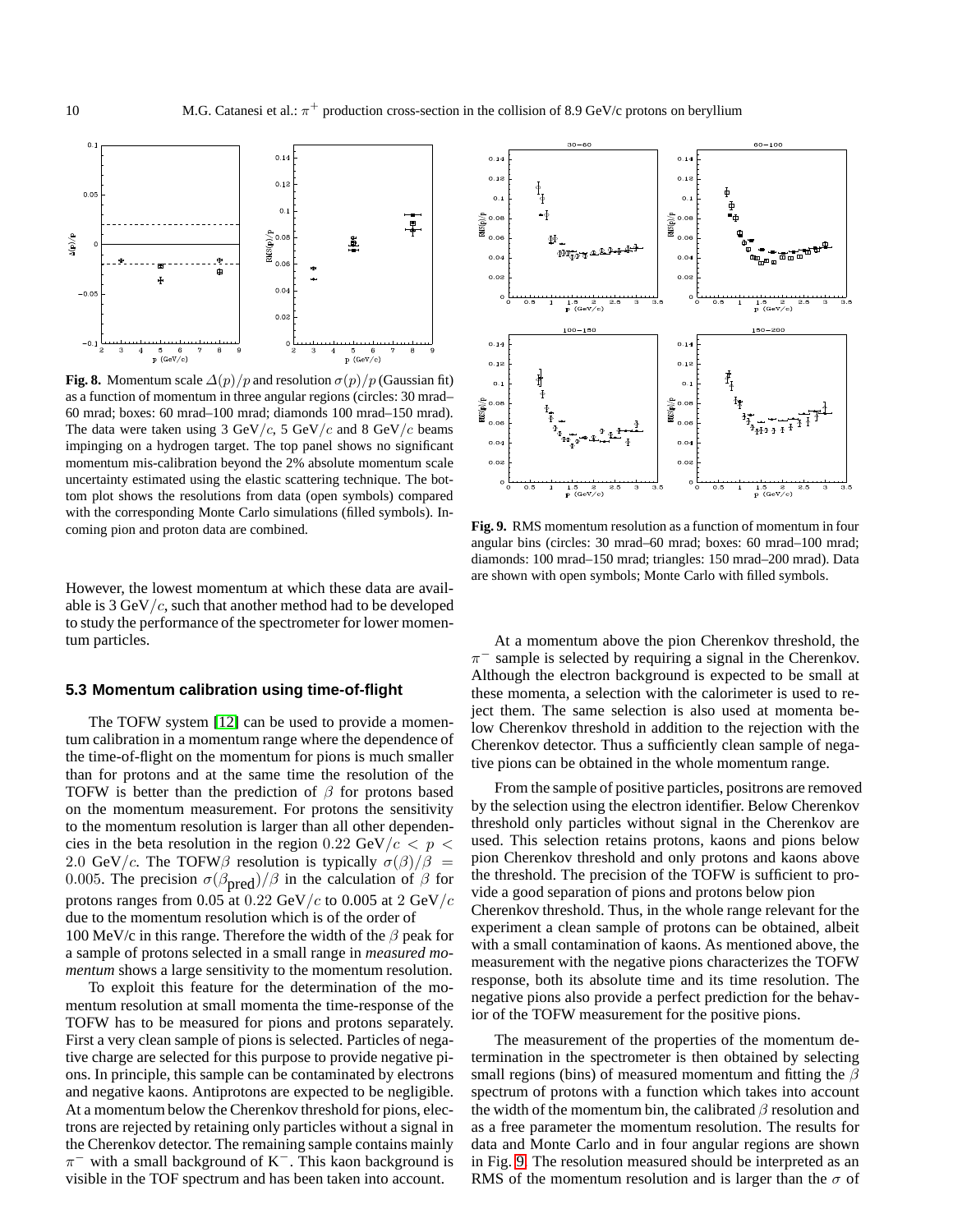

<span id="page-9-0"></span>**Fig. 8.** Momentum scale  $\Delta(p)/p$  and resolution  $\sigma(p)/p$  (Gaussian fit) as a function of momentum in three angular regions (circles: 30 mrad– 60 mrad; boxes: 60 mrad–100 mrad; diamonds 100 mrad–150 mrad). The data were taken using 3 GeV/ $c$ , 5 GeV/ $c$  and 8 GeV/ $c$  beams impinging on a hydrogen target. The top panel shows no significant momentum mis-calibration beyond the 2% absolute momentum scale uncertainty estimated using the elastic scattering technique. The bottom plot shows the resolutions from data (open symbols) compared with the corresponding Monte Carlo simulations (filled symbols). Incoming pion and proton data are combined.

However, the lowest momentum at which these data are available is  $3 \text{ GeV}/c$ , such that another method had to be developed to study the performance of the spectrometer for lower momentum particles.

#### **5.3 Momentum calibration using time-of-flight**

The TOFW system [\[12\]](#page-18-12) can be used to provide a momentum calibration in a momentum range where the dependence of the time-of-flight on the momentum for pions is much smaller than for protons and at the same time the resolution of the TOFW is better than the prediction of  $\beta$  for protons based on the momentum measurement. For protons the sensitivity to the momentum resolution is larger than all other dependencies in the beta resolution in the region 0.22 GeV/ $c < p <$ 2.0 GeV/c. The TOFW $\beta$  resolution is typically  $\sigma(\beta)/\beta$  = 0.005. The precision  $\sigma(\beta_{\text{pred}})/\beta$  in the calculation of  $\beta$  for protons ranges from 0.05 at 0.22 GeV/c to 0.005 at 2 GeV/c due to the momentum resolution which is of the order of 100 MeV/c in this range. Therefore the width of the  $\beta$  peak for a sample of protons selected in a small range in *measured momentum* shows a large sensitivity to the momentum resolution.

To exploit this feature for the determination of the momentum resolution at small momenta the time-response of the TOFW has to be measured for pions and protons separately. First a very clean sample of pions is selected. Particles of negative charge are selected for this purpose to provide negative pions. In principle, this sample can be contaminated by electrons and negative kaons. Antiprotons are expected to be negligible. At a momentum below the Cherenkov threshold for pions, electrons are rejected by retaining only particles without a signal in the Cherenkov detector. The remaining sample contains mainly  $\pi^-$  with a small background of K<sup>-</sup>. This kaon background is visible in the TOF spectrum and has been taken into account.



<span id="page-9-1"></span>**Fig. 9.** RMS momentum resolution as a function of momentum in four angular bins (circles: 30 mrad–60 mrad; boxes: 60 mrad–100 mrad; diamonds: 100 mrad–150 mrad; triangles: 150 mrad–200 mrad). Data are shown with open symbols; Monte Carlo with filled symbols.

At a momentum above the pion Cherenkov threshold, the  $\pi^-$  sample is selected by requiring a signal in the Cherenkov. Although the electron background is expected to be small at these momenta, a selection with the calorimeter is used to reject them. The same selection is also used at momenta below Cherenkov threshold in addition to the rejection with the Cherenkov detector. Thus a sufficiently clean sample of negative pions can be obtained in the whole momentum range.

From the sample of positive particles, positrons are removed by the selection using the electron identifier. Below Cherenkov threshold only particles without signal in the Cherenkov are used. This selection retains protons, kaons and pions below pion Cherenkov threshold and only protons and kaons above the threshold. The precision of the TOFW is sufficient to provide a good separation of pions and protons below pion Cherenkov threshold. Thus, in the whole range relevant for the experiment a clean sample of protons can be obtained, albeit with a small contamination of kaons. As mentioned above, the measurement with the negative pions characterizes the TOFW response, both its absolute time and its time resolution. The negative pions also provide a perfect prediction for the behavior of the TOFW measurement for the positive pions.

The measurement of the properties of the momentum determination in the spectrometer is then obtained by selecting small regions (bins) of measured momentum and fitting the  $\beta$ spectrum of protons with a function which takes into account the width of the momentum bin, the calibrated  $\beta$  resolution and as a free parameter the momentum resolution. The results for data and Monte Carlo and in four angular regions are shown in Fig. [9.](#page-9-1) The resolution measured should be interpreted as an RMS of the momentum resolution and is larger than the  $\sigma$  of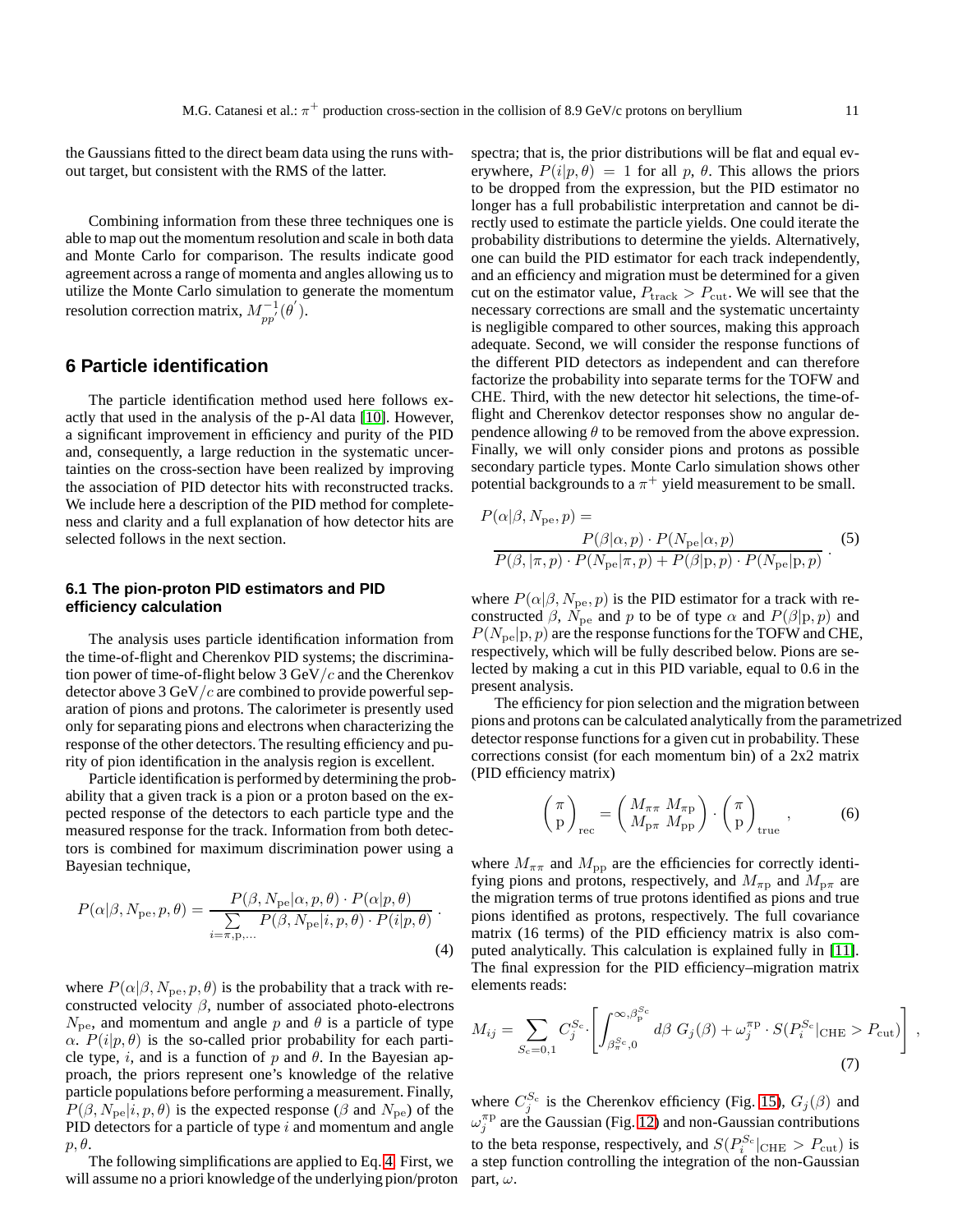the Gaussians fitted to the direct beam data using the runs without target, but consistent with the RMS of the latter.

Combining information from these three techniques one is able to map out the momentum resolution and scale in both data and Monte Carlo for comparison. The results indicate good agreement across a range of momenta and angles allowing us to utilize the Monte Carlo simulation to generate the momentum resolution correction matrix,  $M_{pp'}^{-1}(\theta')$ .

#### <span id="page-10-0"></span>**6 Particle identification**

The particle identification method used here follows exactly that used in the analysis of the p-Al data [\[10\]](#page-18-6). However, a significant improvement in efficiency and purity of the PID and, consequently, a large reduction in the systematic uncertainties on the cross-section have been realized by improving the association of PID detector hits with reconstructed tracks. We include here a description of the PID method for completeness and clarity and a full explanation of how detector hits are selected follows in the next section.

#### **6.1 The pion-proton PID estimators and PID efficiency calculation**

The analysis uses particle identification information from the time-of-flight and Cherenkov PID systems; the discrimination power of time-of-flight below 3 GeV/ $c$  and the Cherenkov detector above 3 GeV/ $c$  are combined to provide powerful separation of pions and protons. The calorimeter is presently used only for separating pions and electrons when characterizing the response of the other detectors. The resulting efficiency and purity of pion identification in the analysis region is excellent.

Particle identification is performed by determining the probability that a given track is a pion or a proton based on the expected response of the detectors to each particle type and the measured response for the track. Information from both detectors is combined for maximum discrimination power using a Bayesian technique,

<span id="page-10-1"></span>
$$
P(\alpha|\beta, N_{\text{pe}}, p, \theta) = \frac{P(\beta, N_{\text{pe}}|\alpha, p, \theta) \cdot P(\alpha|p, \theta)}{\sum_{i=\pi, p, \dots} P(\beta, N_{\text{pe}}|i, p, \theta) \cdot P(i|p, \theta)}.
$$
\n(4)

where  $P(\alpha|\beta, N_{\text{pe}}, p, \theta)$  is the probability that a track with reconstructed velocity  $\beta$ , number of associated photo-electrons  $N_{\text{pe}}$ , and momentum and angle p and  $\theta$  is a particle of type  $\alpha$ .  $P(i|p, \theta)$  is the so-called prior probability for each particle type, i, and is a function of p and  $\theta$ . In the Bayesian approach, the priors represent one's knowledge of the relative particle populations before performing a measurement. Finally,  $P(\beta, N_{\text{pe}}|i, p, \theta)$  is the expected response ( $\beta$  and  $N_{\text{pe}}$ ) of the PID detectors for a particle of type  $i$  and momentum and angle  $p, \theta$ .

The following simplifications are applied to Eq. [4.](#page-10-1) First, we will assume no a priori knowledge of the underlying pion/proton spectra; that is, the prior distributions will be flat and equal everywhere,  $P(i|p, \theta) = 1$  for all p,  $\theta$ . This allows the priors to be dropped from the expression, but the PID estimator no longer has a full probabilistic interpretation and cannot be directly used to estimate the particle yields. One could iterate the probability distributions to determine the yields. Alternatively, one can build the PID estimator for each track independently, and an efficiency and migration must be determined for a given cut on the estimator value,  $P_{\text{track}} > P_{\text{cut}}$ . We will see that the necessary corrections are small and the systematic uncertainty is negligible compared to other sources, making this approach adequate. Second, we will consider the response functions of the different PID detectors as independent and can therefore factorize the probability into separate terms for the TOFW and CHE. Third, with the new detector hit selections, the time-offlight and Cherenkov detector responses show no angular dependence allowing  $\theta$  to be removed from the above expression. Finally, we will only consider pions and protons as possible secondary particle types. Monte Carlo simulation shows other potential backgrounds to a  $\pi^+$  yield measurement to be small.

<span id="page-10-3"></span>
$$
P(\alpha|\beta, N_{\text{pe}}, p) =
$$
  
\n
$$
P(\beta|\alpha, p) \cdot P(N_{\text{pe}}|\alpha, p)
$$
  
\n
$$
\overline{P(\beta, |\pi, p) \cdot P(N_{\text{pe}}|\pi, p) + P(\beta|\mathbf{p}, p) \cdot P(N_{\text{pe}}|\mathbf{p}, p)}
$$
 (5)

where  $P(\alpha|\beta, N_{\text{pe}}, p)$  is the PID estimator for a track with reconstructed  $\beta$ ,  $\dot{N}_{\text{pe}}$  and p to be of type  $\alpha$  and  $P(\beta|p, p)$  and  $P(N_{\text{pe}}|p, p)$  are the response functions for the TOFW and CHE, respectively, which will be fully described below. Pions are selected by making a cut in this PID variable, equal to 0.6 in the present analysis.

The efficiency for pion selection and the migration between pions and protons can be calculated analytically from the parametrized detector response functions for a given cut in probability. These corrections consist (for each momentum bin) of a 2x2 matrix (PID efficiency matrix)

<span id="page-10-2"></span>
$$
\begin{pmatrix} \pi \\ p \end{pmatrix}_{\text{rec}} = \begin{pmatrix} M_{\pi\pi} M_{\pi p} \\ M_{p\pi} M_{pp} \end{pmatrix} \cdot \begin{pmatrix} \pi \\ p \end{pmatrix}_{\text{true}} , \qquad (6)
$$

where  $M_{\pi\pi}$  and  $M_{\text{pp}}$  are the efficiencies for correctly identifying pions and protons, respectively, and  $M_{\pi \text{p}}$  and  $M_{\text{p} \pi}$  are the migration terms of true protons identified as pions and true pions identified as protons, respectively. The full covariance matrix (16 terms) of the PID efficiency matrix is also computed analytically. This calculation is explained fully in [\[11\]](#page-18-13). The final expression for the PID efficiency–migration matrix elements reads:

<span id="page-10-4"></span>
$$
M_{ij} = \sum_{S_c=0,1} C_j^{S_c} \left[ \int_{\beta_{\pi}^{S_c},0}^{\infty,\beta_{\mathbf{p}}^{S_c}} d\beta \ G_j(\beta) + \omega_j^{\pi \mathbf{p}} \cdot S(P_i^{S_c}|\text{CHE} > P_{\text{cut}}) \right],
$$
\n(7)

where  $C_j^{S_c}$  is the Cherenkov efficiency (Fig. [15\)](#page-13-2),  $G_j(\beta)$  and  $\omega_j^{\pi p}$  are the Gaussian (Fig. [12\)](#page-12-0) and non-Gaussian contributions to the beta response, respectively, and  $S(P_i^{S_c}|_{\text{CHE}} > P_{\text{cut}})$  is a step function controlling the integration of the non-Gaussian part,  $\omega$ .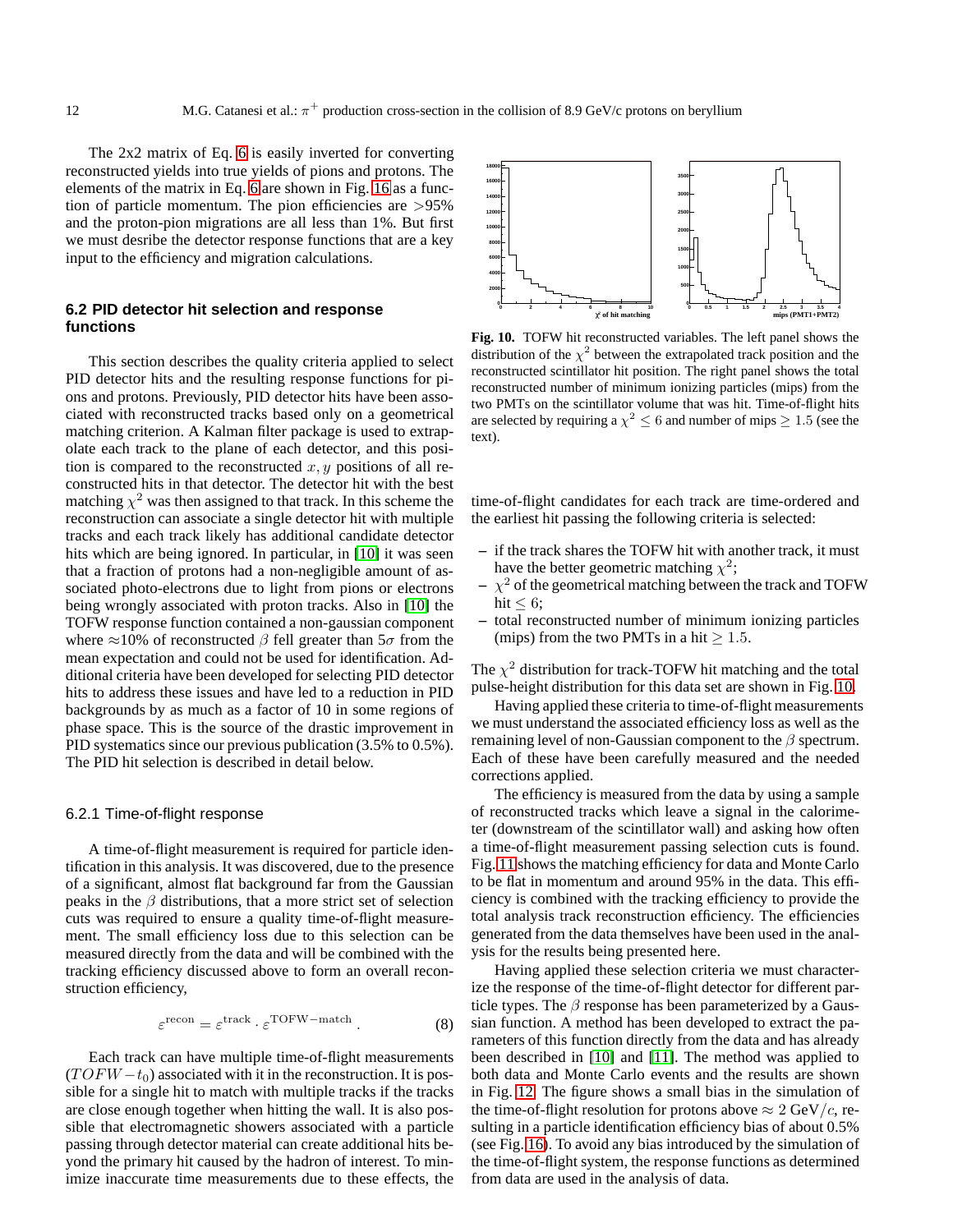The 2x2 matrix of Eq. [6](#page-10-2) is easily inverted for converting reconstructed yields into true yields of pions and protons. The elements of the matrix in Eq. [6](#page-10-2) are shown in Fig. [16](#page-13-3) as a function of particle momentum. The pion efficiencies are >95% and the proton-pion migrations are all less than 1%. But first we must desribe the detector response functions that are a key input to the efficiency and migration calculations.

#### **6.2 PID detector hit selection and response functions**

This section describes the quality criteria applied to select PID detector hits and the resulting response functions for pions and protons. Previously, PID detector hits have been associated with reconstructed tracks based only on a geometrical matching criterion. A Kalman filter package is used to extrapolate each track to the plane of each detector, and this position is compared to the reconstructed  $x, y$  positions of all reconstructed hits in that detector. The detector hit with the best matching  $\chi^2$  was then assigned to that track. In this scheme the reconstruction can associate a single detector hit with multiple tracks and each track likely has additional candidate detector hits which are being ignored. In particular, in [\[10\]](#page-18-6) it was seen that a fraction of protons had a non-negligible amount of associated photo-electrons due to light from pions or electrons being wrongly associated with proton tracks. Also in [\[10\]](#page-18-6) the TOFW response function contained a non-gaussian component where  $\approx$ 10% of reconstructed  $\beta$  fell greater than 5 $\sigma$  from the mean expectation and could not be used for identification. Additional criteria have been developed for selecting PID detector hits to address these issues and have led to a reduction in PID backgrounds by as much as a factor of 10 in some regions of phase space. This is the source of the drastic improvement in PID systematics since our previous publication (3.5% to 0.5%). The PID hit selection is described in detail below.

#### <span id="page-11-0"></span>6.2.1 Time-of-flight response

A time-of-flight measurement is required for particle identification in this analysis. It was discovered, due to the presence of a significant, almost flat background far from the Gaussian peaks in the  $\beta$  distributions, that a more strict set of selection cuts was required to ensure a quality time-of-flight measurement. The small efficiency loss due to this selection can be measured directly from the data and will be combined with the tracking efficiency discussed above to form an overall reconstruction efficiency,

$$
\varepsilon^{\text{recon}} = \varepsilon^{\text{track}} \cdot \varepsilon^{\text{TOFW-match}} \,. \tag{8}
$$

Each track can have multiple time-of-flight measurements  $(TOFW - t_0)$  associated with it in the reconstruction. It is possible for a single hit to match with multiple tracks if the tracks are close enough together when hitting the wall. It is also possible that electromagnetic showers associated with a particle passing through detector material can create additional hits beyond the primary hit caused by the hadron of interest. To minimize inaccurate time measurements due to these effects, the

 **of hit matching <sup>2</sup>**χ **0 2 4 6 8 10 0 2000 4000 6000 8000 10000 12000 14000 16000 18000 mips (PMT1+PMT2) 0 0.5 1 1.5 2 2.5 3 3.5 4 0 500 1000 1500 2000 2500 3000 3500**

<span id="page-11-1"></span>**Fig. 10.** TOFW hit reconstructed variables. The left panel shows the distribution of the  $\chi^2$  between the extrapolated track position and the reconstructed scintillator hit position. The right panel shows the total reconstructed number of minimum ionizing particles (mips) from the two PMTs on the scintillator volume that was hit. Time-of-flight hits are selected by requiring a  $\chi^2 \leq 6$  and number of mips  $\geq 1.5$  (see the text).

time-of-flight candidates for each track are time-ordered and the earliest hit passing the following criteria is selected:

- **–** if the track shares the TOFW hit with another track, it must have the better geometric matching  $\chi^2$ ;
- $\chi^2$  of the geometrical matching between the track and TOFW hit  $\leq 6$ ;
- **–** total reconstructed number of minimum ionizing particles (mips) from the two PMTs in a hit  $\geq 1.5$ .

The  $\chi^2$  distribution for track-TOFW hit matching and the total pulse-height distribution for this data set are shown in Fig. [10.](#page-11-1)

Having applied these criteria to time-of-flight measurements we must understand the associated efficiency loss as well as the remaining level of non-Gaussian component to the  $\beta$  spectrum. Each of these have been carefully measured and the needed corrections applied.

The efficiency is measured from the data by using a sample of reconstructed tracks which leave a signal in the calorimeter (downstream of the scintillator wall) and asking how often a time-of-flight measurement passing selection cuts is found. Fig. [11](#page-12-1) shows the matching efficiency for data and Monte Carlo to be flat in momentum and around 95% in the data. This efficiency is combined with the tracking efficiency to provide the total analysis track reconstruction efficiency. The efficiencies generated from the data themselves have been used in the analysis for the results being presented here.

Having applied these selection criteria we must characterize the response of the time-of-flight detector for different particle types. The  $\beta$  response has been parameterized by a Gaussian function. A method has been developed to extract the parameters of this function directly from the data and has already been described in [\[10\]](#page-18-6) and [\[11\]](#page-18-13). The method was applied to both data and Monte Carlo events and the results are shown in Fig. [12.](#page-12-0) The figure shows a small bias in the simulation of the time-of-flight resolution for protons above  $\approx 2 \text{ GeV}/c$ , resulting in a particle identification efficiency bias of about 0.5% (see Fig. [16\)](#page-13-3). To avoid any bias introduced by the simulation of the time-of-flight system, the response functions as determined from data are used in the analysis of data.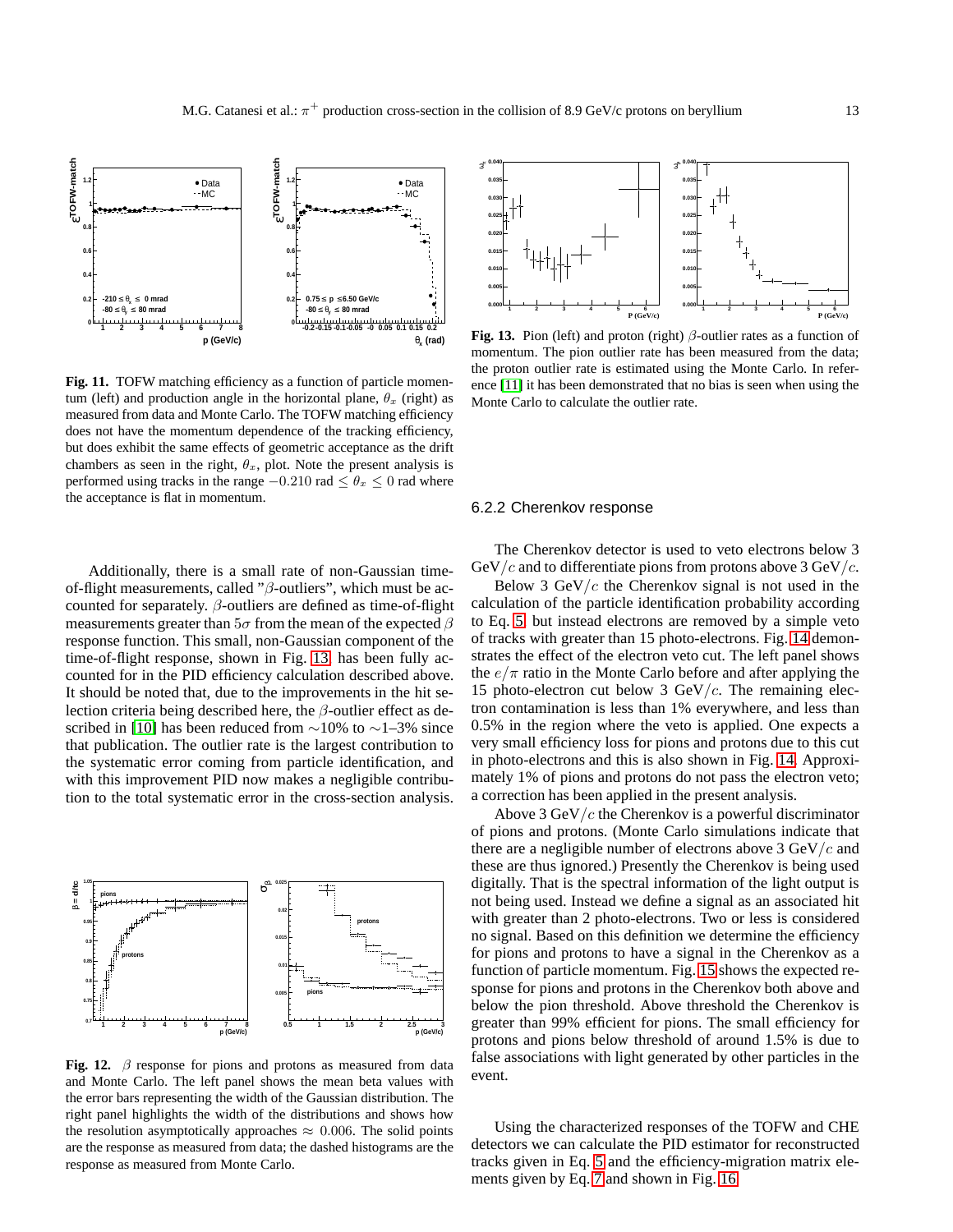

<span id="page-12-1"></span>**Fig. 11.** TOFW matching efficiency as a function of particle momentum (left) and production angle in the horizontal plane,  $\theta_x$  (right) as measured from data and Monte Carlo. The TOFW matching efficiency does not have the momentum dependence of the tracking efficiency, but does exhibit the same effects of geometric acceptance as the drift chambers as seen in the right,  $\theta_x$ , plot. Note the present analysis is performed using tracks in the range  $-0.210$  rad  $\leq \theta_x \leq 0$  rad where the acceptance is flat in momentum.

Additionally, there is a small rate of non-Gaussian timeof-flight measurements, called "β-outliers", which must be accounted for separately.  $\beta$ -outliers are defined as time-of-flight measurements greater than  $5\sigma$  from the mean of the expected  $\beta$ response function. This small, non-Gaussian component of the time-of-flight response, shown in Fig. [13,](#page-12-2) has been fully accounted for in the PID efficiency calculation described above. It should be noted that, due to the improvements in the hit selection criteria being described here, the  $\beta$ -outlier effect as de-scribed in [\[10\]](#page-18-6) has been reduced from ∼10% to ∼1–3% since that publication. The outlier rate is the largest contribution to the systematic error coming from particle identification, and with this improvement PID now makes a negligible contribution to the total systematic error in the cross-section analysis.



<span id="page-12-0"></span>**Fig. 12.**  $\beta$  response for pions and protons as measured from data and Monte Carlo. The left panel shows the mean beta values with the error bars representing the width of the Gaussian distribution. The right panel highlights the width of the distributions and shows how the resolution asymptotically approaches  $\approx 0.006$ . The solid points are the response as measured from data; the dashed histograms are the response as measured from Monte Carlo.



<span id="page-12-2"></span>**Fig. 13.** Pion (left) and proton (right) β-outlier rates as a function of momentum. The pion outlier rate has been measured from the data; the proton outlier rate is estimated using the Monte Carlo. In reference [\[11\]](#page-18-13) it has been demonstrated that no bias is seen when using the Monte Carlo to calculate the outlier rate.

#### 6.2.2 Cherenkov response

The Cherenkov detector is used to veto electrons below 3  $GeV/c$  and to differentiate pions from protons above 3 GeV/ $c$ .

Below 3 GeV/ $c$  the Cherenkov signal is not used in the calculation of the particle identification probability according to Eq. [5,](#page-10-3) but instead electrons are removed by a simple veto of tracks with greater than 15 photo-electrons. Fig. [14](#page-13-4) demonstrates the effect of the electron veto cut. The left panel shows the  $e/\pi$  ratio in the Monte Carlo before and after applying the 15 photo-electron cut below 3 GeV/ $c$ . The remaining electron contamination is less than 1% everywhere, and less than 0.5% in the region where the veto is applied. One expects a very small efficiency loss for pions and protons due to this cut in photo-electrons and this is also shown in Fig. [14.](#page-13-4) Approximately 1% of pions and protons do not pass the electron veto; a correction has been applied in the present analysis.

Above 3 GeV/ $c$  the Cherenkov is a powerful discriminator of pions and protons. (Monte Carlo simulations indicate that there are a negligible number of electrons above  $3 \text{ GeV}/c$  and these are thus ignored.) Presently the Cherenkov is being used digitally. That is the spectral information of the light output is not being used. Instead we define a signal as an associated hit with greater than 2 photo-electrons. Two or less is considered no signal. Based on this definition we determine the efficiency for pions and protons to have a signal in the Cherenkov as a function of particle momentum. Fig. [15](#page-13-2) shows the expected response for pions and protons in the Cherenkov both above and below the pion threshold. Above threshold the Cherenkov is greater than 99% efficient for pions. The small efficiency for protons and pions below threshold of around 1.5% is due to false associations with light generated by other particles in the event.

Using the characterized responses of the TOFW and CHE detectors we can calculate the PID estimator for reconstructed tracks given in Eq. [5](#page-10-3) and the efficiency-migration matrix elements given by Eq. [7](#page-10-4) and shown in Fig. [16.](#page-13-3)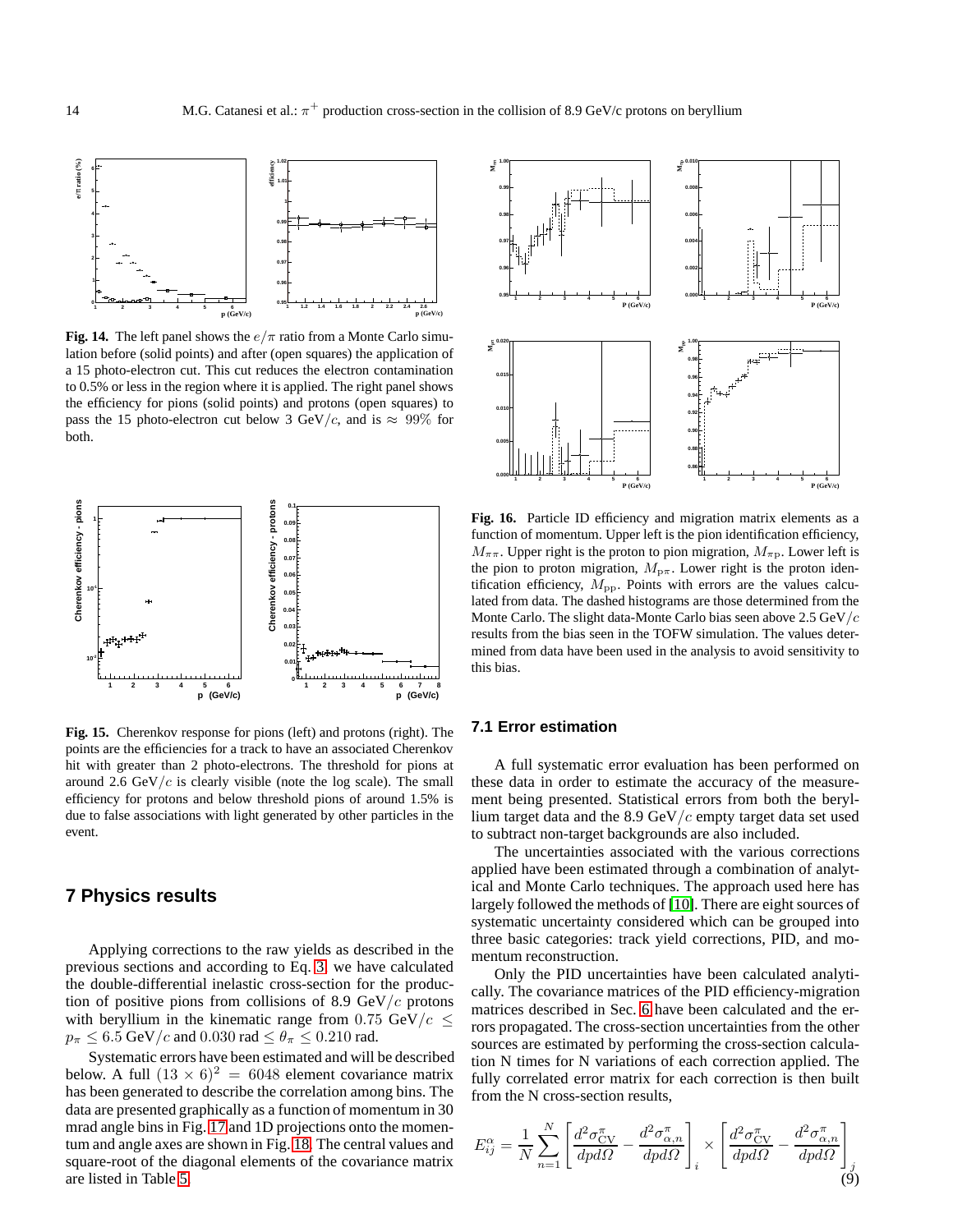

<span id="page-13-4"></span>**Fig. 14.** The left panel shows the  $e/\pi$  ratio from a Monte Carlo simulation before (solid points) and after (open squares) the application of a 15 photo-electron cut. This cut reduces the electron contamination to 0.5% or less in the region where it is applied. The right panel shows the efficiency for pions (solid points) and protons (open squares) to pass the 15 photo-electron cut below 3 GeV/c, and is  $\approx 99\%$  for both.



<span id="page-13-2"></span>**Fig. 15.** Cherenkov response for pions (left) and protons (right). The points are the efficiencies for a track to have an associated Cherenkov hit with greater than 2 photo-electrons. The threshold for pions at around 2.6 GeV/ $c$  is clearly visible (note the log scale). The small efficiency for protons and below threshold pions of around 1.5% is due to false associations with light generated by other particles in the event.

## <span id="page-13-0"></span>**7 Physics results**

Applying corrections to the raw yields as described in the previous sections and according to Eq. [3,](#page-4-2) we have calculated the double-differential inelastic cross-section for the production of positive pions from collisions of 8.9 GeV/ $c$  protons with beryllium in the kinematic range from 0.75 GeV/ $c \leq$  $p_{\pi} \leq 6.5$  GeV/c and 0.030 rad  $\leq \theta_{\pi} \leq 0.210$  rad.

Systematic errors have been estimated and will be described below. A full  $(13 \times 6)^2 = 6048$  element covariance matrix has been generated to describe the correlation among bins. The data are presented graphically as a function of momentum in 30 mrad angle bins in Fig. [17](#page-14-0) and 1D projections onto the momentum and angle axes are shown in Fig. [18.](#page-14-1) The central values and square-root of the diagonal elements of the covariance matrix are listed in Table [5.](#page-19-0)



<span id="page-13-3"></span>**Fig. 16.** Particle ID efficiency and migration matrix elements as a function of momentum. Upper left is the pion identification efficiency,  $M_{\pi\pi}$ . Upper right is the proton to pion migration,  $M_{\pi p}$ . Lower left is the pion to proton migration,  $M_{p\pi}$ . Lower right is the proton identification efficiency,  $M_{\text{pp}}$ . Points with errors are the values calculated from data. The dashed histograms are those determined from the Monte Carlo. The slight data-Monte Carlo bias seen above 2.5 GeV/c results from the bias seen in the TOFW simulation. The values determined from data have been used in the analysis to avoid sensitivity to this bias.

#### <span id="page-13-1"></span>**7.1 Error estimation**

A full systematic error evaluation has been performed on these data in order to estimate the accuracy of the measurement being presented. Statistical errors from both the beryllium target data and the 8.9 GeV/ $c$  empty target data set used to subtract non-target backgrounds are also included.

The uncertainties associated with the various corrections applied have been estimated through a combination of analytical and Monte Carlo techniques. The approach used here has largely followed the methods of [\[10\]](#page-18-6). There are eight sources of systematic uncertainty considered which can be grouped into three basic categories: track yield corrections, PID, and momentum reconstruction.

Only the PID uncertainties have been calculated analytically. The covariance matrices of the PID efficiency-migration matrices described in Sec. [6](#page-10-0) have been calculated and the errors propagated. The cross-section uncertainties from the other sources are estimated by performing the cross-section calculation N times for N variations of each correction applied. The fully correlated error matrix for each correction is then built from the N cross-section results,

$$
E_{ij}^{\alpha} = \frac{1}{N} \sum_{n=1}^{N} \left[ \frac{d^2 \sigma_{\text{CV}}^{\pi}}{dp d \Omega} - \frac{d^2 \sigma_{\alpha,n}^{\pi}}{dp d \Omega} \right]_i \times \left[ \frac{d^2 \sigma_{\text{CV}}^{\pi}}{dp d \Omega} - \frac{d^2 \sigma_{\alpha,n}^{\pi}}{dp d \Omega} \right]_j
$$
\n(9)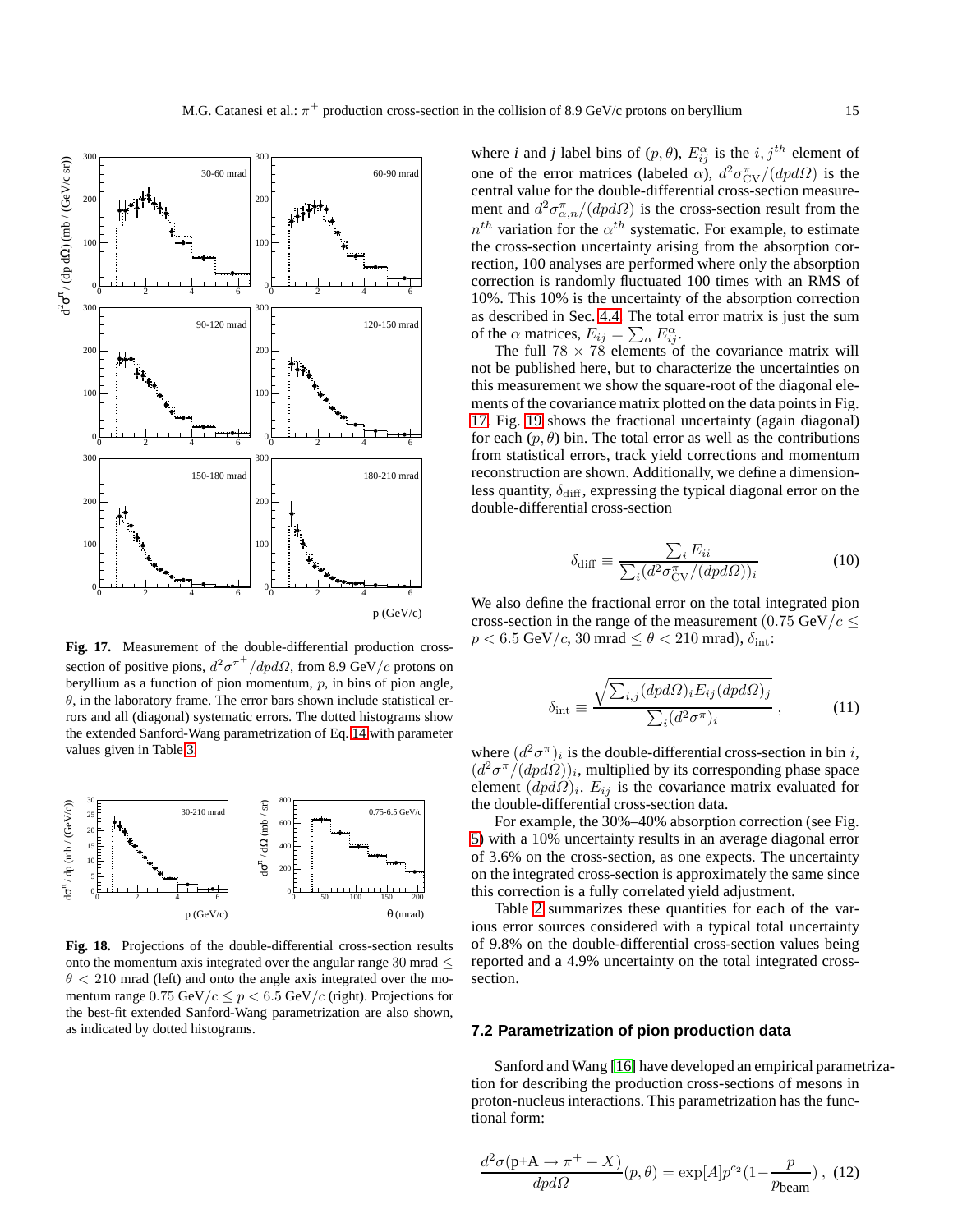

<span id="page-14-0"></span>**Fig. 17.** Measurement of the double-differential production crosssection of positive pions,  $d^2 \sigma^{\pi^+}/dp d\Omega$ , from 8.9 GeV/c protons on beryllium as a function of pion momentum,  $p$ , in bins of pion angle,  $\theta$ , in the laboratory frame. The error bars shown include statistical errors and all (diagonal) systematic errors. The dotted histograms show the extended Sanford-Wang parametrization of Eq. [14](#page-15-0) with parameter values given in Table [3.](#page-16-1)



<span id="page-14-1"></span>**Fig. 18.** Projections of the double-differential cross-section results onto the momentum axis integrated over the angular range 30 mrad  $\leq$  $\theta$  < 210 mrad (left) and onto the angle axis integrated over the momentum range  $0.75 \text{ GeV}/c \leq p < 6.5 \text{ GeV}/c$  (right). Projections for the best-fit extended Sanford-Wang parametrization are also shown, as indicated by dotted histograms.

where *i* and *j* label bins of  $(p, \theta)$ ,  $E_{ij}^{\alpha}$  is the *i*, *j*<sup>th</sup> element of one of the error matrices (labeled  $\alpha$ ),  $d^2 \sigma_{CV}^{\pi}/(dpd\Omega)$  is the central value for the double-differential cross-section measurement and  $d^2 \sigma_{\alpha,n}^{\pi}/(dpd\Omega)$  is the cross-section result from the  $n^{th}$  variation for the  $\alpha^{th}$  systematic. For example, to estimate the cross-section uncertainty arising from the absorption correction, 100 analyses are performed where only the absorption correction is randomly fluctuated 100 times with an RMS of 10%. This 10% is the uncertainty of the absorption correction as described in Sec. [4.4.](#page-6-1) The total error matrix is just the sum of the  $\alpha$  matrices,  $E_{ij} = \sum_{\alpha} E_{ij}^{\alpha}$ .

The full  $78 \times 78$  elements of the covariance matrix will not be published here, but to characterize the uncertainties on this measurement we show the square-root of the diagonal elements of the covariance matrix plotted on the data points in Fig. [17.](#page-14-0) Fig. [19](#page-17-0) shows the fractional uncertainty (again diagonal) for each  $(p, \theta)$  bin. The total error as well as the contributions from statistical errors, track yield corrections and momentum reconstruction are shown. Additionally, we define a dimensionless quantity,  $\delta_{\text{diff}}$ , expressing the typical diagonal error on the double-differential cross-section

$$
\delta_{\text{diff}} \equiv \frac{\sum_{i} E_{ii}}{\sum_{i} (d^2 \sigma_{\text{CV}}^{\pi} / (dp d \Omega))_i}
$$
(10)

We also define the fractional error on the total integrated pion cross-section in the range of the measurement (0.75 GeV/ $c \leq$  $p < 6.5$  GeV/c, 30 mrad  $\leq \theta < 210$  mrad),  $\delta_{\rm int}$ :

$$
\delta_{\rm int} \equiv \frac{\sqrt{\sum_{i,j} (dpd\Omega)_i E_{ij} (dpd\Omega)_j}}{\sum_i (d^2 \sigma^{\pi})_i} , \qquad (11)
$$

where  $(d^2\sigma^{\pi})_i$  is the double-differential cross-section in bin i,  $(d^2\sigma^{\pi}/(dpd\Omega))_i$ , multiplied by its corresponding phase space element  $(dpd\Omega)_i$ .  $E_{ij}$  is the covariance matrix evaluated for the double-differential cross-section data.

For example, the 30%–40% absorption correction (see Fig. [5\)](#page-7-1) with a 10% uncertainty results in an average diagonal error of 3.6% on the cross-section, as one expects. The uncertainty on the integrated cross-section is approximately the same since this correction is a fully correlated yield adjustment.

Table [2](#page-15-1) summarizes these quantities for each of the various error sources considered with a typical total uncertainty of 9.8% on the double-differential cross-section values being reported and a 4.9% uncertainty on the total integrated crosssection.

#### **7.2 Parametrization of pion production data**

Sanford and Wang [\[16\]](#page-18-14) have developed an empirical parametrization for describing the production cross-sections of mesons in proton-nucleus interactions. This parametrization has the functional form:

<span id="page-14-2"></span>
$$
\frac{d^2\sigma(\mathbf{p} + \mathbf{A} \to \pi^+ + X)}{dpd\Omega}(p,\theta) = \exp[A]p^{c_2}(1 - \frac{p}{p_{\text{beam}}}), (12)
$$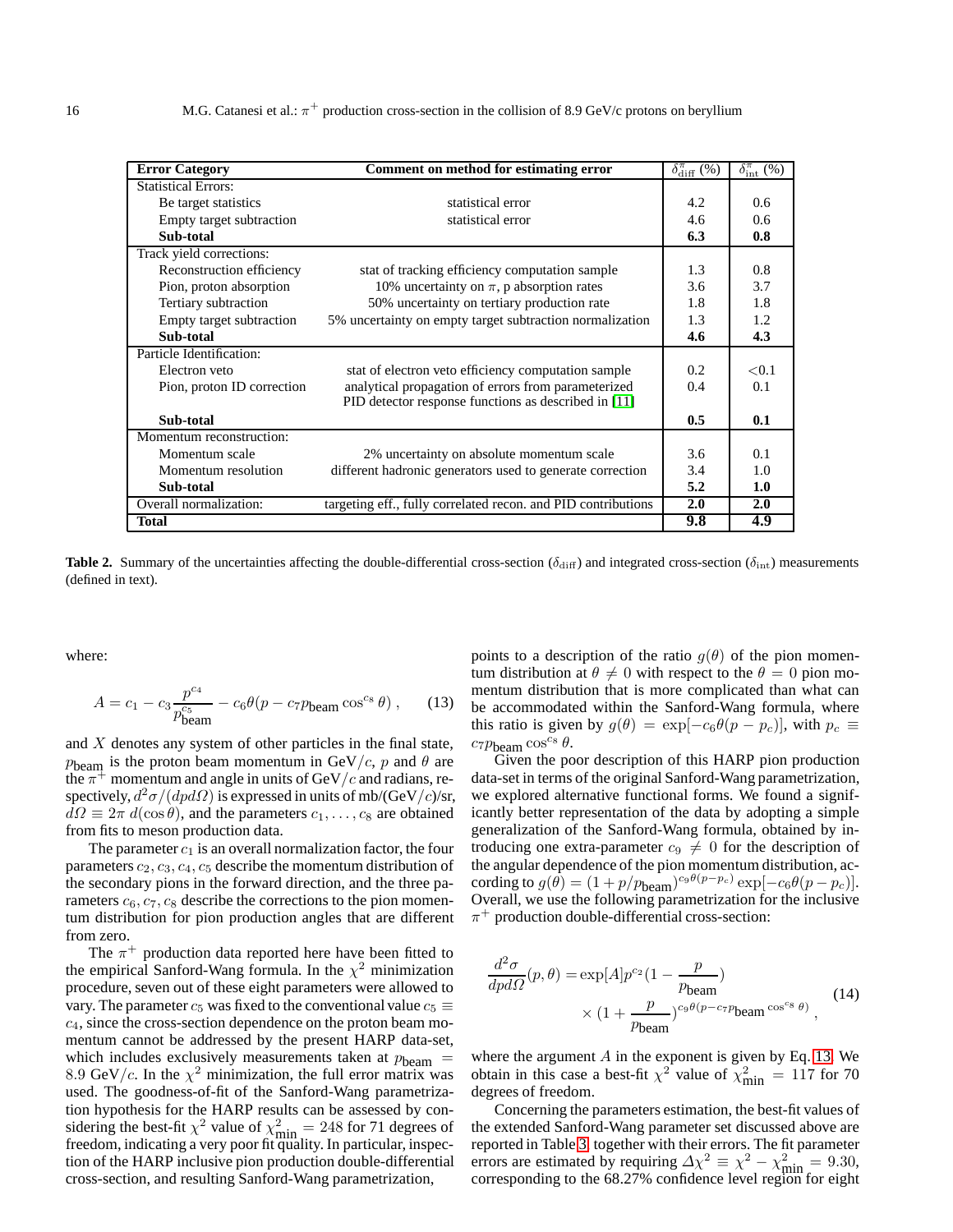| <b>Error Category</b>      | Comment on method for estimating error                                                                      | $\delta_{\text{diff}}^{\pi}$ (%) | $\delta_{\rm int}^{\pi}$ (%) |
|----------------------------|-------------------------------------------------------------------------------------------------------------|----------------------------------|------------------------------|
| <b>Statistical Errors:</b> |                                                                                                             |                                  |                              |
| Be target statistics       | statistical error                                                                                           | 4.2.                             | 0.6                          |
| Empty target subtraction   | statistical error                                                                                           | 4.6                              | 0.6                          |
| Sub-total                  |                                                                                                             | 6.3                              | 0.8                          |
| Track yield corrections:   |                                                                                                             |                                  |                              |
| Reconstruction efficiency  | stat of tracking efficiency computation sample                                                              | 1.3                              | 0.8                          |
| Pion, proton absorption    | 10% uncertainty on $\pi$ , p absorption rates                                                               | 3.6                              | 3.7                          |
| Tertiary subtraction       | 50% uncertainty on tertiary production rate                                                                 | 1.8                              | 1.8                          |
| Empty target subtraction   | 5% uncertainty on empty target subtraction normalization                                                    | 1.3                              | 1.2                          |
| Sub-total                  |                                                                                                             | 4.6                              | 4.3                          |
| Particle Identification:   |                                                                                                             |                                  |                              |
| Electron veto              | stat of electron veto efficiency computation sample                                                         | 0.2                              | ${<}0.1$                     |
| Pion, proton ID correction | analytical propagation of errors from parameterized<br>PID detector response functions as described in [11] | 0.4                              | 0.1                          |
| Sub-total                  |                                                                                                             | 0.5                              | 0.1                          |
| Momentum reconstruction:   |                                                                                                             |                                  |                              |
| Momentum scale             | 2% uncertainty on absolute momentum scale                                                                   | 3.6                              | 0.1                          |
| Momentum resolution        | different hadronic generators used to generate correction                                                   | 3.4                              | 1.0                          |
| Sub-total                  |                                                                                                             | 5.2                              | 1.0                          |
| Overall normalization:     | targeting eff., fully correlated recon. and PID contributions                                               | 2.0                              | 2.0                          |
| Total                      |                                                                                                             | 9.8                              | 4.9                          |

<span id="page-15-1"></span>**Table 2.** Summary of the uncertainties affecting the double-differential cross-section ( $\delta$ <sub>diff</sub>) and integrated cross-section ( $\delta$ <sub>int</sub>) measurements (defined in text).

where:

<span id="page-15-2"></span>
$$
A = c_1 - c_3 \frac{p^{c_4}}{p_{\text{beam}}^{c_5}} - c_6 \theta (p - c_7 p_{\text{beam}} \cos^{c_8} \theta) , \quad (13)
$$

and  $X$  denotes any system of other particles in the final state,  $p_{\text{beam}}$  is the proton beam momentum in GeV/c, p and  $\theta$  are the  $\pi^+$  momentum and angle in units of GeV/c and radians, respectively,  $d^2\sigma/(dpd\Omega)$  is expressed in units of mb/(GeV/c)/sr,  $d\Omega \equiv 2\pi d(\cos\theta)$ , and the parameters  $c_1, \ldots, c_8$  are obtained from fits to meson production data.

The parameter  $c_1$  is an overall normalization factor, the four parameters  $c_2, c_3, c_4, c_5$  describe the momentum distribution of the secondary pions in the forward direction, and the three parameters  $c_6$ ,  $c_7$ ,  $c_8$  describe the corrections to the pion momentum distribution for pion production angles that are different from zero.

The  $\pi^{+}$  production data reported here have been fitted to the empirical Sanford-Wang formula. In the  $\chi^2$  minimization procedure, seven out of these eight parameters were allowed to vary. The parameter  $c_5$  was fixed to the conventional value  $c_5 \equiv$  $c<sub>4</sub>$ , since the cross-section dependence on the proton beam momentum cannot be addressed by the present HARP data-set, which includes exclusively measurements taken at  $p_{\text{beam}}$  = 8.9 GeV/c. In the  $\chi^2$  minimization, the full error matrix was used. The goodness-of-fit of the Sanford-Wang parametrization hypothesis for the HARP results can be assessed by considering the best-fit  $\chi^2$  value of  $\chi^2_{\text{min}} = 248$  for 71 degrees of freedom, indicating a very poor fit quality. In particular, inspection of the HARP inclusive pion production double-differential cross-section, and resulting Sanford-Wang parametrization,

points to a description of the ratio  $g(\theta)$  of the pion momentum distribution at  $\theta \neq 0$  with respect to the  $\theta = 0$  pion momentum distribution that is more complicated than what can be accommodated within the Sanford-Wang formula, where this ratio is given by  $g(\theta) = \exp[-c_6\theta(p - p_c)]$ , with  $p_c \equiv$  $c_7p_{\text{beam}}\cos^{c_8}\theta.$ 

Given the poor description of this HARP pion production data-set in terms of the original Sanford-Wang parametrization, we explored alternative functional forms. We found a significantly better representation of the data by adopting a simple generalization of the Sanford-Wang formula, obtained by introducing one extra-parameter  $c_9 \neq 0$  for the description of the angular dependence of the pion momentum distribution, according to  $g(\theta) = (1 + p/p_{\text{beam}})^{c_9 \theta(p - p_c)} \exp[-c_6 \theta(p - p_c)].$ Overall, we use the following parametrization for the inclusive  $\pi^+$  production double-differential cross-section:

<span id="page-15-0"></span>
$$
\frac{d^2\sigma}{dpd\Omega}(p,\theta) = \exp[A]p^{c_2}(1 - \frac{p}{p_{\text{beam}}})
$$
  
×  $(1 + \frac{p}{p_{\text{beam}}})^{c_9\theta(p - c_7p_{\text{beam}}\cos^{c_8}\theta)},$  (14)

where the argument  $A$  in the exponent is given by Eq. [13.](#page-15-2) We obtain in this case a best-fit  $\chi^2$  value of  $\chi^2_{\text{min}} = 117$  for 70 degrees of freedom.

Concerning the parameters estimation, the best-fit values of the extended Sanford-Wang parameter set discussed above are reported in Table [3,](#page-16-1) together with their errors. The fit parameter errors are estimated by requiring  $\Delta \chi^2 \equiv \chi^2 - \chi^2_{\text{min}} = 9.30$ , corresponding to the 68.27% confidence level region for eight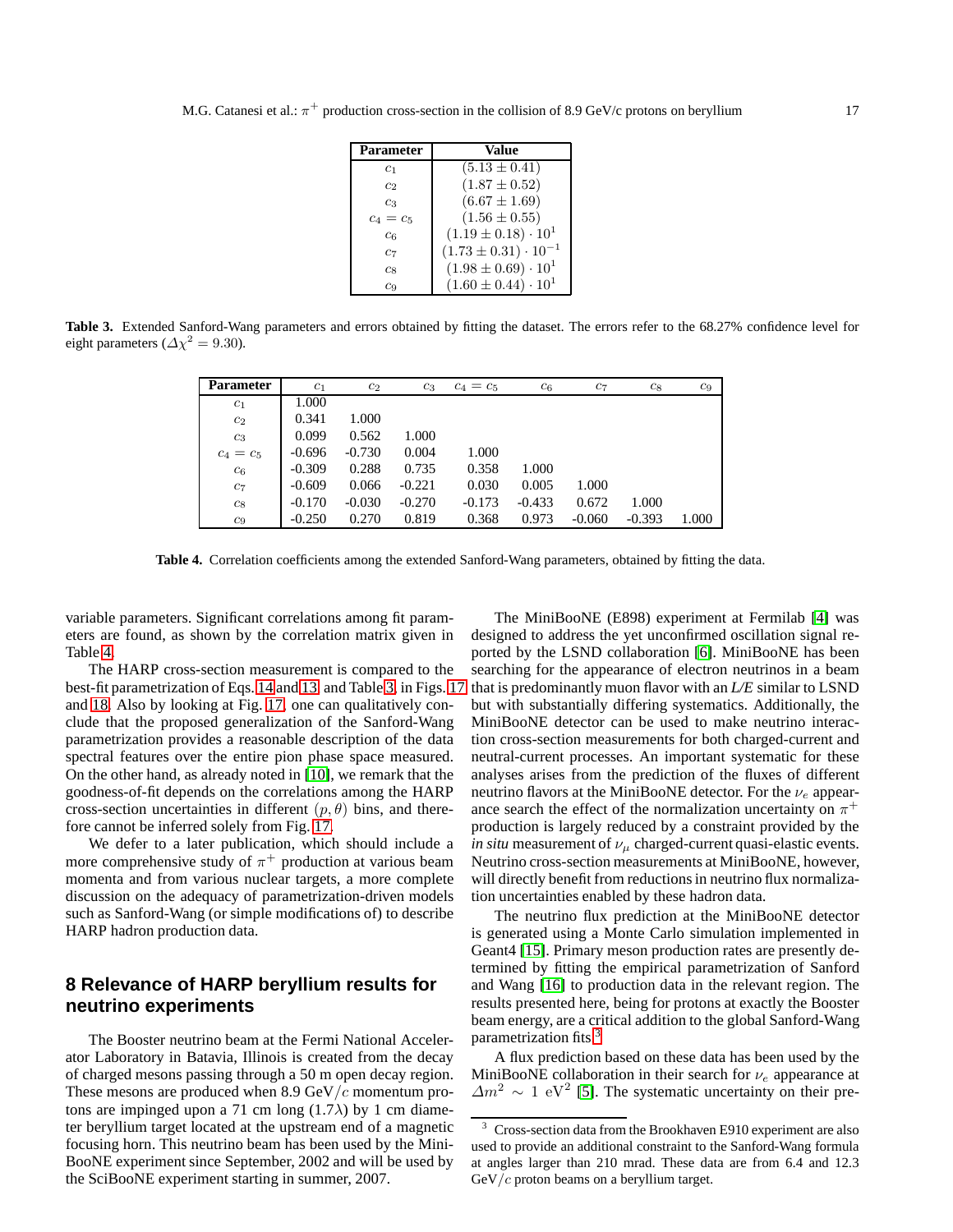| M.G. Catanesi et al.: $\pi^+$ production cross-section in the collision of 8.9 GeV/c protons on beryllium |  |
|-----------------------------------------------------------------------------------------------------------|--|
|-----------------------------------------------------------------------------------------------------------|--|

| Parameter      | Value                           |
|----------------|---------------------------------|
| c <sub>1</sub> | $(5.13 \pm 0.41)$               |
| c <sub>2</sub> | $(1.87 \pm 0.52)$               |
| $c_3$          | $(6.67 \pm 1.69)$               |
| $c_4 = c_5$    | $(1.56 \pm 0.55)$               |
| c <sub>6</sub> | $(1.19 \pm 0.18) \cdot 10^{1}$  |
| c <sub>7</sub> | $(1.73 \pm 0.31) \cdot 10^{-1}$ |
| c <sub>8</sub> | $(1.98 \pm 0.69) \cdot 10^{1}$  |
| Co             | $(1.60 \pm 0.44) \cdot 10^{1}$  |

<span id="page-16-1"></span>Table 3. Extended Sanford-Wang parameters and errors obtained by fitting the dataset. The errors refer to the 68.27% confidence level for eight parameters ( $\Delta \chi^2 = 9.30$ ).

| <b>Parameter</b> | $c_1$    | $c_2$    | $c_3$    | $c_4 = c_5$ | $c_6$    | $c_7$    | $c_8$    | $c_9$ |
|------------------|----------|----------|----------|-------------|----------|----------|----------|-------|
| $c_1$            | 1.000    |          |          |             |          |          |          |       |
| $c_2$            | 0.341    | 1.000    |          |             |          |          |          |       |
| $c_3$            | 0.099    | 0.562    | 1.000    |             |          |          |          |       |
| $c_4 = c_5$      | $-0.696$ | $-0.730$ | 0.004    | 1.000       |          |          |          |       |
| $\overline{c}_6$ | $-0.309$ | 0.288    | 0.735    | 0.358       | 1.000    |          |          |       |
| $c_7$            | $-0.609$ | 0.066    | $-0.221$ | 0.030       | 0.005    | 1.000    |          |       |
| $\mathfrak{c}_8$ | $-0.170$ | $-0.030$ | $-0.270$ | $-0.173$    | $-0.433$ | 0.672    | 1.000    |       |
| c <sub>9</sub>   | $-0.250$ | 0.270    | 0.819    | 0.368       | 0.973    | $-0.060$ | $-0.393$ | 1.000 |

<span id="page-16-2"></span>**Table 4.** Correlation coefficients among the extended Sanford-Wang parameters, obtained by fitting the data.

variable parameters. Significant correlations among fit parameters are found, as shown by the correlation matrix given in Table [4.](#page-16-2)

The HARP cross-section measurement is compared to the best-fit parametrization of Eqs. [14](#page-15-0) and [13,](#page-15-2) and Table [3,](#page-16-1) in Figs. 1 and [18.](#page-14-1) Also by looking at Fig. [17,](#page-14-0) one can qualitatively conclude that the proposed generalization of the Sanford-Wang parametrization provides a reasonable description of the data spectral features over the entire pion phase space measured. On the other hand, as already noted in [\[10\]](#page-18-6), we remark that the goodness-of-fit depends on the correlations among the HARP cross-section uncertainties in different  $(p, \theta)$  bins, and therefore cannot be inferred solely from Fig. [17.](#page-14-0)

We defer to a later publication, which should include a more comprehensive study of  $\pi^+$  production at various beam momenta and from various nuclear targets, a more complete discussion on the adequacy of parametrization-driven models such as Sanford-Wang (or simple modifications of) to describe HARP hadron production data.

## <span id="page-16-0"></span>**8 Relevance of HARP beryllium results for neutrino experiments**

The Booster neutrino beam at the Fermi National Accelerator Laboratory in Batavia, Illinois is created from the decay of charged mesons passing through a 50 m open decay region. These mesons are produced when  $8.9 \text{ GeV}/c$  momentum protons are impinged upon a 71 cm long  $(1.7\lambda)$  by 1 cm diameter beryllium target located at the upstream end of a magnetic focusing horn. This neutrino beam has been used by the Mini-BooNE experiment since September, 2002 and will be used by the SciBooNE experiment starting in summer, 2007.

The MiniBooNE (E898) experiment at Fermilab [\[4\]](#page-18-2) was designed to address the yet unconfirmed oscillation signal reported by the LSND collaboration [\[6\]](#page-18-4). MiniBooNE has been searching for the appearance of electron neutrinos in a beam that is predominantly muon flavor with an *L/E* similar to LSND but with substantially differing systematics. Additionally, the MiniBooNE detector can be used to make neutrino interaction cross-section measurements for both charged-current and neutral-current processes. An important systematic for these analyses arises from the prediction of the fluxes of different neutrino flavors at the MiniBooNE detector. For the  $\nu_e$  appearance search the effect of the normalization uncertainty on  $\pi^+$ production is largely reduced by a constraint provided by the *in situ* measurement of  $\nu_{\mu}$  charged-current quasi-elastic events. Neutrino cross-section measurements at MiniBooNE, however, will directly benefit from reductions in neutrino flux normalization uncertainties enabled by these hadron data.

The neutrino flux prediction at the MiniBooNE detector is generated using a Monte Carlo simulation implemented in Geant4 [\[15\]](#page-18-15). Primary meson production rates are presently determined by fitting the empirical parametrization of Sanford and Wang [\[16\]](#page-18-14) to production data in the relevant region. The results presented here, being for protons at exactly the Booster beam energy, are a critical addition to the global Sanford-Wang parametrization fits.[3](#page-16-3)

A flux prediction based on these data has been used by the MiniBooNE collaboration in their search for  $\nu_e$  appearance at  $\Delta m^2 \sim 1$  eV<sup>2</sup> [\[5\]](#page-18-3). The systematic uncertainty on their pre-

<span id="page-16-3"></span><sup>3</sup> Cross-section data from the Brookhaven E910 experiment are also used to provide an additional constraint to the Sanford-Wang formula at angles larger than 210 mrad. These data are from 6.4 and 12.3 GeV/c proton beams on a beryllium target.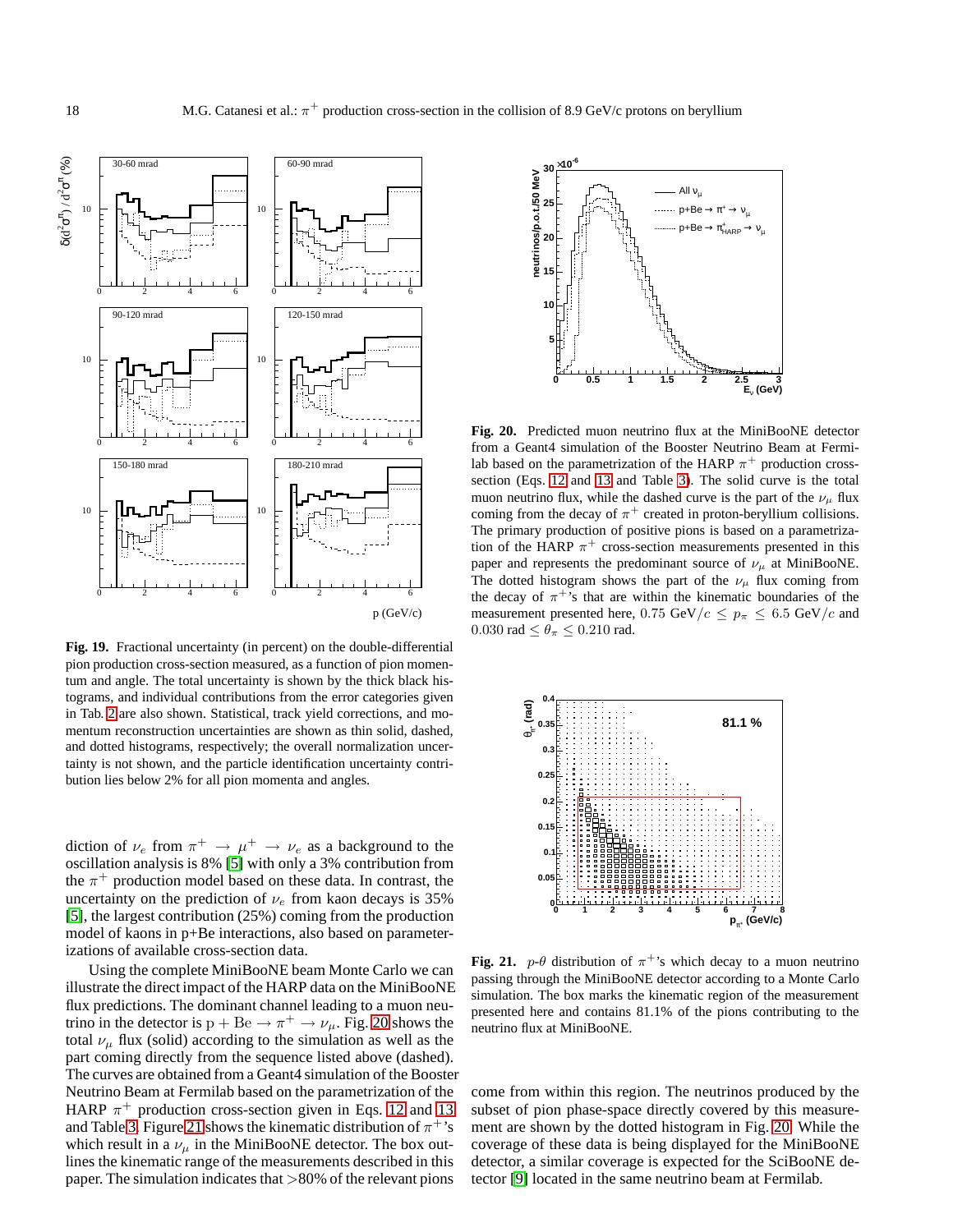

<span id="page-17-0"></span>**Fig. 19.** Fractional uncertainty (in percent) on the double-differential pion production cross-section measured, as a function of pion momentum and angle. The total uncertainty is shown by the thick black histograms, and individual contributions from the error categories given in Tab. [2](#page-15-1) are also shown. Statistical, track yield corrections, and momentum reconstruction uncertainties are shown as thin solid, dashed, and dotted histograms, respectively; the overall normalization uncertainty is not shown, and the particle identification uncertainty contribution lies below 2% for all pion momenta and angles.

diction of  $\nu_e$  from  $\pi^+ \to \mu^+ \to \nu_e$  as a background to the oscillation analysis is 8% [\[5\]](#page-18-3) with only a 3% contribution from the  $\pi^+$  production model based on these data. In contrast, the uncertainty on the prediction of  $\nu_e$  from kaon decays is 35% [\[5\]](#page-18-3), the largest contribution (25%) coming from the production model of kaons in p+Be interactions, also based on parameterizations of available cross-section data.

Using the complete MiniBooNE beam Monte Carlo we can illustrate the direct impact of the HARP data on the MiniBooNE flux predictions. The dominant channel leading to a muon neutrino in the detector is  $p + Be \rightarrow \pi^+ \rightarrow \nu_\mu$ . Fig. [20](#page-17-1) shows the total  $\nu_{\mu}$  flux (solid) according to the simulation as well as the part coming directly from the sequence listed above (dashed). The curves are obtained from a Geant4 simulation of the Booster Neutrino Beam at Fermilab based on the parametrization of the HARP  $\pi^{+}$  production cross-section given in Eqs. [12](#page-14-2) and [13](#page-15-2) and Table [3.](#page-16-1) Figure [21](#page-17-2) shows the kinematic distribution of  $\pi^+$ 's which result in a  $\nu_{\mu}$  in the MiniBooNE detector. The box outlines the kinematic range of the measurements described in this paper. The simulation indicates that >80% of the relevant pions



<span id="page-17-1"></span>**Fig. 20.** Predicted muon neutrino flux at the MiniBooNE detector from a Geant4 simulation of the Booster Neutrino Beam at Fermilab based on the parametrization of the HARP  $\pi^{+}$  production crosssection (Eqs. [12](#page-14-2) and [13](#page-15-2) and Table [3\)](#page-16-1). The solid curve is the total muon neutrino flux, while the dashed curve is the part of the  $\nu_{\mu}$  flux coming from the decay of  $\pi^+$  created in proton-beryllium collisions. The primary production of positive pions is based on a parametrization of the HARP  $\pi^{+}$  cross-section measurements presented in this paper and represents the predominant source of  $\nu_{\mu}$  at MiniBooNE. The dotted histogram shows the part of the  $\nu_{\mu}$  flux coming from the decay of  $\pi^{+}$ 's that are within the kinematic boundaries of the measurement presented here,  $0.75 \text{ GeV}/c \leq p_{\pi} \leq 6.5 \text{ GeV}/c$  and 0.030 rad  $\leq \theta_{\pi} \leq 0.210$  rad.



<span id="page-17-2"></span>**Fig. 21.**  $p-\theta$  distribution of  $\pi^+$ 's which decay to a muon neutrino passing through the MiniBooNE detector according to a Monte Carlo simulation. The box marks the kinematic region of the measurement presented here and contains 81.1% of the pions contributing to the neutrino flux at MiniBooNE.

come from within this region. The neutrinos produced by the subset of pion phase-space directly covered by this measurement are shown by the dotted histogram in Fig. [20.](#page-17-1) While the coverage of these data is being displayed for the MiniBooNE detector, a similar coverage is expected for the SciBooNE detector [\[9\]](#page-18-5) located in the same neutrino beam at Fermilab.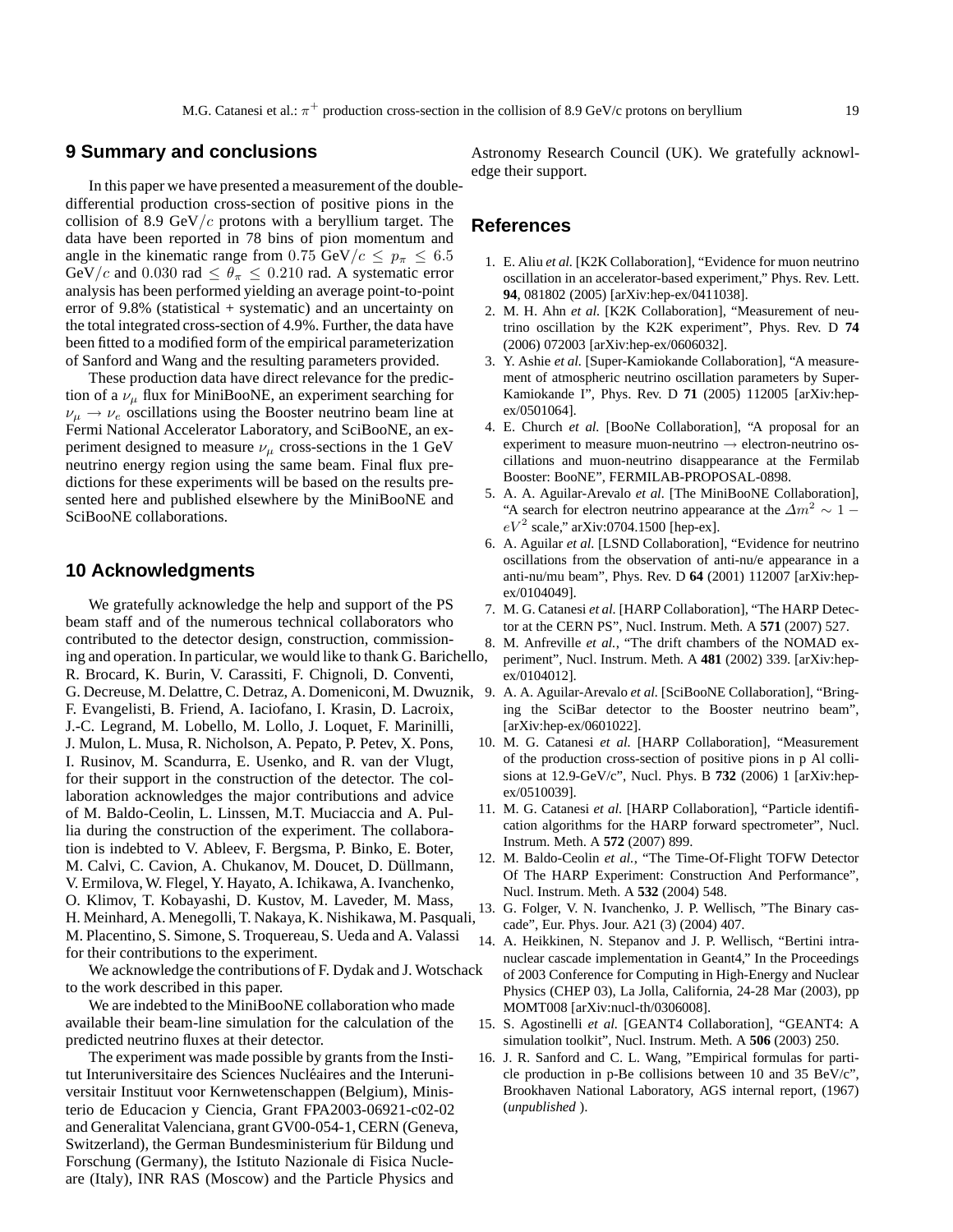### <span id="page-18-9"></span>**9 Summary and conclusions**

In this paper we have presented a measurement of the doubledifferential production cross-section of positive pions in the collision of 8.9 GeV/ $c$  protons with a beryllium target. The data have been reported in 78 bins of pion momentum and angle in the kinematic range from 0.75 GeV/ $c \leq p_{\pi} \leq 6.5$ GeV/c and 0.030 rad  $\leq \theta_{\pi} \leq 0.210$  rad. A systematic error analysis has been performed yielding an average point-to-point error of 9.8% (statistical + systematic) and an uncertainty on the total integrated cross-section of 4.9%. Further, the data have been fitted to a modified form of the empirical parameterization of Sanford and Wang and the resulting parameters provided.

These production data have direct relevance for the prediction of a  $\nu_{\mu}$  flux for MiniBooNE, an experiment searching for  $\nu_{\mu} \rightarrow \nu_{e}$  oscillations using the Booster neutrino beam line at Fermi National Accelerator Laboratory, and SciBooNE, an experiment designed to measure  $\nu_{\mu}$  cross-sections in the 1 GeV neutrino energy region using the same beam. Final flux predictions for these experiments will be based on the results presented here and published elsewhere by the MiniBooNE and SciBooNE collaborations.

#### **10 Acknowledgments**

We gratefully acknowledge the help and support of the PS beam staff and of the numerous technical collaborators who contributed to the detector design, construction, commissioning and operation. In particular, we would like to thank G. Barichello, R. Brocard, K. Burin, V. Carassiti, F. Chignoli, D. Conventi, G. Decreuse, M. Delattre, C. Detraz, A. Domeniconi, M. Dwuznik, 9. A. A. Aguilar-Arevalo *et al.* [SciBooNE Collaboration], "Bring-F. Evangelisti, B. Friend, A. Iaciofano, I. Krasin, D. Lacroix, J.-C. Legrand, M. Lobello, M. Lollo, J. Loquet, F. Marinilli, J. Mulon, L. Musa, R. Nicholson, A. Pepato, P. Petev, X. Pons, I. Rusinov, M. Scandurra, E. Usenko, and R. van der Vlugt, for their support in the construction of the detector. The collaboration acknowledges the major contributions and advice of M. Baldo-Ceolin, L. Linssen, M.T. Muciaccia and A. Pullia during the construction of the experiment. The collaboration is indebted to V. Ableev, F. Bergsma, P. Binko, E. Boter, M. Calvi, C. Cavion, A. Chukanov, M. Doucet, D. Düllmann, V. Ermilova, W. Flegel, Y. Hayato, A. Ichikawa, A. Ivanchenko, O. Klimov, T. Kobayashi, D. Kustov, M. Laveder, M. Mass, H. Meinhard, A. Menegolli, T. Nakaya, K. Nishikawa, M. Pasquali, M. Placentino, S. Simone, S. Troquereau, S. Ueda and A. Valassi for their contributions to the experiment.

We acknowledge the contributions of F. Dydak and J. Wotschack to the work described in this paper.

We are indebted to the MiniBooNE collaboration who made available their beam-line simulation for the calculation of the predicted neutrino fluxes at their detector.

The experiment was made possible by grants from the Institut Interuniversitaire des Sciences Nucléaires and the Interuniversitair Instituut voor Kernwetenschappen (Belgium), Ministerio de Educacion y Ciencia, Grant FPA2003-06921-c02-02 and Generalitat Valenciana, grant GV00-054-1, CERN (Geneva, Switzerland), the German Bundesministerium für Bildung und Forschung (Germany), the Istituto Nazionale di Fisica Nucleare (Italy), INR RAS (Moscow) and the Particle Physics and

Astronomy Research Council (UK). We gratefully acknowledge their support.

#### <span id="page-18-7"></span>**References**

- 1. E. Aliu *et al.* [K2K Collaboration], "Evidence for muon neutrino oscillation in an accelerator-based experiment," Phys. Rev. Lett. **94**, 081802 (2005) [arXiv:hep-ex/0411038].
- <span id="page-18-0"></span>2. M. H. Ahn *et al.* [K2K Collaboration], "Measurement of neutrino oscillation by the K2K experiment", Phys. Rev. D **74** (2006) 072003 [arXiv:hep-ex/0606032].
- <span id="page-18-1"></span>3. Y. Ashie *et al.* [Super-Kamiokande Collaboration], "A measurement of atmospheric neutrino oscillation parameters by Super-Kamiokande I", Phys. Rev. D **71** (2005) 112005 [arXiv:hepex/0501064].
- <span id="page-18-2"></span>4. E. Church *et al.* [BooNe Collaboration], "A proposal for an experiment to measure muon-neutrino  $\rightarrow$  electron-neutrino oscillations and muon-neutrino disappearance at the Fermilab Booster: BooNE", FERMILAB-PROPOSAL-0898.
- <span id="page-18-3"></span>5. A. A. Aguilar-Arevalo *et al.* [The MiniBooNE Collaboration], "A search for electron neutrino appearance at the  $\Delta m^2 \sim 1$  $eV^2$  scale," arXiv:0704.1500 [hep-ex].
- <span id="page-18-4"></span>6. A. Aguilar *et al.* [LSND Collaboration], "Evidence for neutrino oscillations from the observation of anti-nu/e appearance in a anti-nu/mu beam", Phys. Rev. D **64** (2001) 112007 [arXiv:hepex/0104049].
- 7. M. G. Catanesi *et al.* [HARP Collaboration], "The HARP Detector at the CERN PS", Nucl. Instrum. Meth. A **571** (2007) 527.
- <span id="page-18-8"></span>8. M. Anfreville *et al.*, "The drift chambers of the NOMAD experiment", Nucl. Instrum. Meth. A **481** (2002) 339. [arXiv:hepex/0104012].
- <span id="page-18-5"></span>ing the SciBar detector to the Booster neutrino beam", [arXiv:hep-ex/0601022].
- <span id="page-18-6"></span>10. M. G. Catanesi *et al.* [HARP Collaboration], "Measurement of the production cross-section of positive pions in p Al collisions at 12.9-GeV/c", Nucl. Phys. B **732** (2006) 1 [arXiv:hepex/0510039].
- <span id="page-18-13"></span>11. M. G. Catanesi *et al.* [HARP Collaboration], "Particle identification algorithms for the HARP forward spectrometer", Nucl. Instrum. Meth. A **572** (2007) 899.
- <span id="page-18-12"></span>12. M. Baldo-Ceolin *et al.*, "The Time-Of-Flight TOFW Detector Of The HARP Experiment: Construction And Performance", Nucl. Instrum. Meth. A **532** (2004) 548.
- <span id="page-18-10"></span>13. G. Folger, V. N. Ivanchenko, J. P. Wellisch, "The Binary cascade", Eur. Phys. Jour. A21 (3) (2004) 407.
- <span id="page-18-11"></span>14. A. Heikkinen, N. Stepanov and J. P. Wellisch, "Bertini intranuclear cascade implementation in Geant4," In the Proceedings of 2003 Conference for Computing in High-Energy and Nuclear Physics (CHEP 03), La Jolla, California, 24-28 Mar (2003), pp MOMT008 [arXiv:nucl-th/0306008].
- <span id="page-18-15"></span>15. S. Agostinelli *et al.* [GEANT4 Collaboration], "GEANT4: A simulation toolkit", Nucl. Instrum. Meth. A **506** (2003) 250.
- <span id="page-18-14"></span>16. J. R. Sanford and C. L. Wang, "Empirical formulas for particle production in p-Be collisions between 10 and 35 BeV/c", Brookhaven National Laboratory, AGS internal report, (1967) (*unpublished* ).